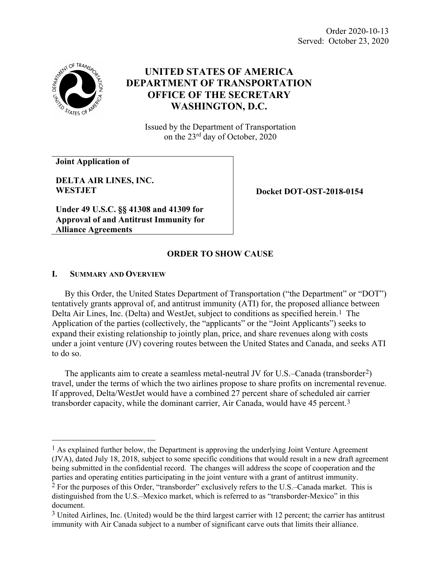Order 2020-10-13 Served: October 23, 2020



# **UNITED STATES OF AMERICA DEPARTMENT OF TRANSPORTATION OFFICE OF THE SECRETARY WASHINGTON, D.C.**

Issued by the Department of Transportation on the 23rd day of October, 2020

**Joint Application of** 

**DELTA AIR LINES, INC. WESTJET**

**Docket DOT-OST-2018-0154**

**Under 49 U.S.C. §§ 41308 and 41309 for Approval of and Antitrust Immunity for Alliance Agreements**

## **I. SUMMARY AND OVERVIEW**

By this Order, the United States Department of Transportation ("the Department" or "DOT") tentatively grants approval of, and antitrust immunity (ATI) for, the proposed alliance between Delta Air Lines, Inc. (Delta) and WestJet, subject to conditions as specified herein.<sup>[1](#page-0-0)</sup> The Application of the parties (collectively, the "applicants" or the "Joint Applicants") seeks to expand their existing relationship to jointly plan, price, and share revenues along with costs under a joint venture (JV) covering routes between the United States and Canada, and seeks ATI to do so.

**ORDER TO SHOW CAUSE**

The applicants aim to create a seamless metal-neutral JV for U.S.–Canada (transborder[2\)](#page-0-1) travel, under the terms of which the two airlines propose to share profits on incremental revenue. If approved, Delta/WestJet would have a combined 27 percent share of scheduled air carrier transborder capacity, while the dominant carrier, Air Canada, would have 45 percent.[3](#page-0-2) 

<span id="page-0-0"></span> $<sup>1</sup>$  As explained further below, the Department is approving the underlying Joint Venture Agreement</sup> (JVA), dated July 18, 2018, subject to some specific conditions that would result in a new draft agreement being submitted in the confidential record. The changes will address the scope of cooperation and the parties and operating entities participating in the joint venture with a grant of antitrust immunity.

<span id="page-0-1"></span><sup>&</sup>lt;sup>2</sup> For the purposes of this Order, "transborder" exclusively refers to the U.S.–Canada market. This is distinguished from the U.S.–Mexico market, which is referred to as "transborder-Mexico" in this document.

<span id="page-0-2"></span><sup>3</sup> United Airlines, Inc. (United) would be the third largest carrier with 12 percent; the carrier has antitrust immunity with Air Canada subject to a number of significant carve outs that limits their alliance.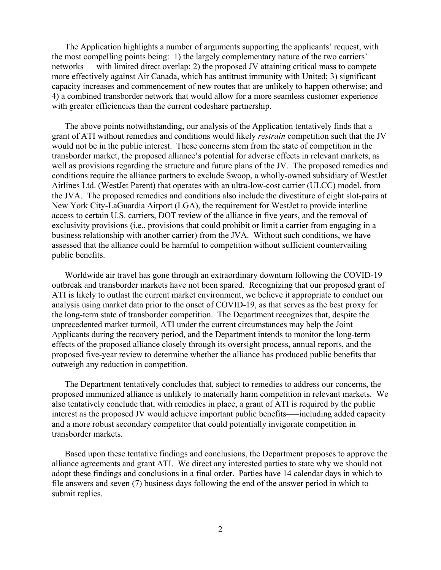The Application highlights a number of arguments supporting the applicants' request, with the most compelling points being: 1) the largely complementary nature of the two carriers' networks–—with limited direct overlap; 2) the proposed JV attaining critical mass to compete more effectively against Air Canada, which has antitrust immunity with United; 3) significant capacity increases and commencement of new routes that are unlikely to happen otherwise; and 4) a combined transborder network that would allow for a more seamless customer experience with greater efficiencies than the current codeshare partnership.

The above points notwithstanding, our analysis of the Application tentatively finds that a grant of ATI without remedies and conditions would likely *restrain* competition such that the JV would not be in the public interest. These concerns stem from the state of competition in the transborder market, the proposed alliance's potential for adverse effects in relevant markets, as well as provisions regarding the structure and future plans of the JV. The proposed remedies and conditions require the alliance partners to exclude Swoop, a wholly-owned subsidiary of WestJet Airlines Ltd. (WestJet Parent) that operates with an ultra-low-cost carrier (ULCC) model, from the JVA. The proposed remedies and conditions also include the divestiture of eight slot-pairs at New York City-LaGuardia Airport (LGA), the requirement for WestJet to provide interline access to certain U.S. carriers, DOT review of the alliance in five years, and the removal of exclusivity provisions (i.e., provisions that could prohibit or limit a carrier from engaging in a business relationship with another carrier) from the JVA. Without such conditions, we have assessed that the alliance could be harmful to competition without sufficient countervailing public benefits.

Worldwide air travel has gone through an extraordinary downturn following the COVID-19 outbreak and transborder markets have not been spared. Recognizing that our proposed grant of ATI is likely to outlast the current market environment, we believe it appropriate to conduct our analysis using market data prior to the onset of COVID-19, as that serves as the best proxy for the long-term state of transborder competition. The Department recognizes that, despite the unprecedented market turmoil, ATI under the current circumstances may help the Joint Applicants during the recovery period, and the Department intends to monitor the long-term effects of the proposed alliance closely through its oversight process, annual reports, and the proposed five-year review to determine whether the alliance has produced public benefits that outweigh any reduction in competition.

The Department tentatively concludes that, subject to remedies to address our concerns, the proposed immunized alliance is unlikely to materially harm competition in relevant markets. We also tentatively conclude that, with remedies in place, a grant of ATI is required by the public interest as the proposed JV would achieve important public benefits—including added capacity and a more robust secondary competitor that could potentially invigorate competition in transborder markets.

Based upon these tentative findings and conclusions, the Department proposes to approve the alliance agreements and grant ATI. We direct any interested parties to state why we should not adopt these findings and conclusions in a final order. Parties have 14 calendar days in which to file answers and seven (7) business days following the end of the answer period in which to submit replies.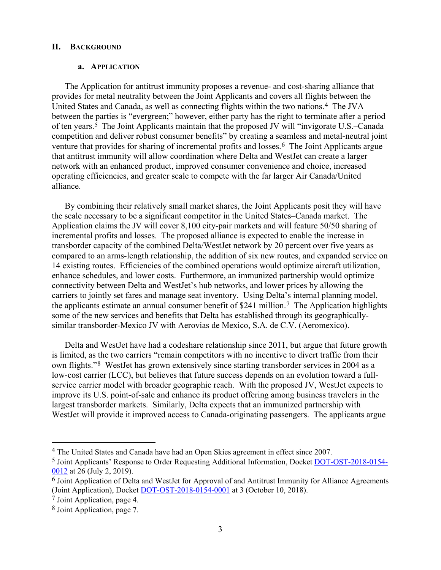#### **II. BACKGROUND**

#### **a. APPLICATION**

The Application for antitrust immunity proposes a revenue- and cost-sharing alliance that provides for metal neutrality between the Joint Applicants and covers all flights between the United States and Canada, as well as connecting flights within the two nations.[4](#page-2-0) The JVA between the parties is "evergreen;" however, either party has the right to terminate after a period of ten years[.5](#page-2-1) The Joint Applicants maintain that the proposed JV will "invigorate U.S.–Canada competition and deliver robust consumer benefits" by creating a seamless and metal-neutral joint venture that provides for sharing of incremental profits and losses.<sup>6</sup> The Joint Applicants argue that antitrust immunity will allow coordination where Delta and WestJet can create a larger network with an enhanced product, improved consumer convenience and choice, increased operating efficiencies, and greater scale to compete with the far larger Air Canada/United alliance.

By combining their relatively small market shares, the Joint Applicants posit they will have the scale necessary to be a significant competitor in the United States–Canada market. The Application claims the JV will cover 8,100 city-pair markets and will feature 50/50 sharing of incremental profits and losses. The proposed alliance is expected to enable the increase in transborder capacity of the combined Delta/WestJet network by 20 percent over five years as compared to an arms-length relationship, the addition of six new routes, and expanded service on 14 existing routes. Efficiencies of the combined operations would optimize aircraft utilization, enhance schedules, and lower costs. Furthermore, an immunized partnership would optimize connectivity between Delta and WestJet's hub networks, and lower prices by allowing the carriers to jointly set fares and manage seat inventory. Using Delta's internal planning model, the applicants estimate an annual consumer benefit of \$241 million.[7](#page-2-3) The Application highlights some of the new services and benefits that Delta has established through its geographicallysimilar transborder-Mexico JV with Aerovias de Mexico, S.A. de C.V. (Aeromexico).

Delta and WestJet have had a codeshare relationship since 2011, but argue that future growth is limited, as the two carriers "remain competitors with no incentive to divert traffic from their own flights."[8](#page-2-4) WestJet has grown extensively since starting transborder services in 2004 as a low-cost carrier (LCC), but believes that future success depends on an evolution toward a fullservice carrier model with broader geographic reach. With the proposed JV, WestJet expects to improve its U.S. point-of-sale and enhance its product offering among business travelers in the largest transborder markets. Similarly, Delta expects that an immunized partnership with WestJet will provide it improved access to Canada-originating passengers. The applicants argue

<span id="page-2-0"></span> <sup>4</sup> The United States and Canada have had an Open Skies agreement in effect since 2007.

<span id="page-2-1"></span><sup>5</sup> Joint Applicants' Response to Order Requesting Additional Information, Docket [DOT-OST-2018-0154-](https://www.regulations.gov/document?D=DOT-OST-2018-0154-0012) [0012](https://www.regulations.gov/document?D=DOT-OST-2018-0154-0012) at 26 (July 2, 2019).

<span id="page-2-2"></span><sup>6</sup> Joint Application of Delta and WestJet for Approval of and Antitrust Immunity for Alliance Agreements (Joint Application), Docket [DOT-OST-2018-0154-0001](https://www.regulations.gov/document?D=DOT-OST-2018-0154-0001) at 3 (October 10, 2018).

<span id="page-2-3"></span><sup>7</sup> Joint Application, page 4.

<span id="page-2-4"></span><sup>8</sup> Joint Application, page 7.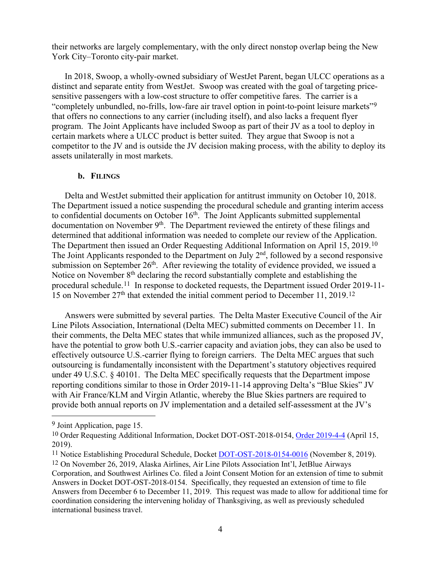their networks are largely complementary, with the only direct nonstop overlap being the New York City–Toronto city-pair market.

In 2018, Swoop, a wholly-owned subsidiary of WestJet Parent, began ULCC operations as a distinct and separate entity from WestJet. Swoop was created with the goal of targeting pricesensitive passengers with a low-cost structure to offer competitive fares. The carrier is a "completely unbundled, no-frills, low-fare air travel option in point-to-point leisure markets"[9](#page-3-0) that offers no connections to any carrier (including itself), and also lacks a frequent flyer program. The Joint Applicants have included Swoop as part of their JV as a tool to deploy in certain markets where a ULCC product is better suited. They argue that Swoop is not a competitor to the JV and is outside the JV decision making process, with the ability to deploy its assets unilaterally in most markets.

#### **b. FILINGS**

Delta and WestJet submitted their application for antitrust immunity on October 10, 2018. The Department issued a notice suspending the procedural schedule and granting interim access to confidential documents on October  $16<sup>th</sup>$ . The Joint Applicants submitted supplemental documentation on November  $9<sup>th</sup>$ . The Department reviewed the entirety of these filings and determined that additional information was needed to complete our review of the Application. The Department then issued an Order Requesting Additional Information on April 15, 2019.[10](#page-3-1)  The Joint Applicants responded to the Department on July  $2<sup>nd</sup>$ , followed by a second responsive submission on September  $26<sup>th</sup>$ . After reviewing the totality of evidence provided, we issued a Notice on November 8<sup>th</sup> declaring the record substantially complete and establishing the procedural schedule.[11](#page-3-2) In response to docketed requests, the Department issued Order 2019-11- 15 on November  $27<sup>th</sup>$  that extended the initial comment period to December 11, 2019.<sup>[12](#page-3-3)</sup>

Answers were submitted by several parties. The Delta Master Executive Council of the Air Line Pilots Association, International (Delta MEC) submitted comments on December 11. In their comments, the Delta MEC states that while immunized alliances, such as the proposed JV, have the potential to grow both U.S.-carrier capacity and aviation jobs, they can also be used to effectively outsource U.S.-carrier flying to foreign carriers. The Delta MEC argues that such outsourcing is fundamentally inconsistent with the Department's statutory objectives required under 49 U.S.C.  $\S$  40101. The Delta MEC specifically requests that the Department impose reporting conditions similar to those in Order 2019-11-14 approving Delta's "Blue Skies" JV with Air France/KLM and Virgin Atlantic, whereby the Blue Skies partners are required to provide both annual reports on JV implementation and a detailed self-assessment at the JV's

<span id="page-3-0"></span> <sup>9</sup> Joint Application, page 15.

<span id="page-3-1"></span><sup>&</sup>lt;sup>10</sup> Order Requesting Additional Information, Docket DOT-OST-2018-0154, [Order 2019-4-4](https://www.regulations.gov/document?D=DOT-OST-2018-0154-0011) (April 15, 2019).

<span id="page-3-2"></span><sup>&</sup>lt;sup>11</sup> Notice Establishing Procedural Schedule, Docket [DOT-OST-2018-0154-0016](https://www.regulations.gov/document?D=DOT-OST-2018-0154-0016) (November 8, 2019).

<span id="page-3-3"></span><sup>12</sup> On November 26, 2019, Alaska Airlines, Air Line Pilots Association Int'l, JetBlue Airways Corporation, and Southwest Airlines Co. filed a Joint Consent Motion for an extension of time to submit Answers in Docket DOT-OST-2018-0154. Specifically, they requested an extension of time to file Answers from December 6 to December 11, 2019. This request was made to allow for additional time for coordination considering the intervening holiday of Thanksgiving, as well as previously scheduled international business travel.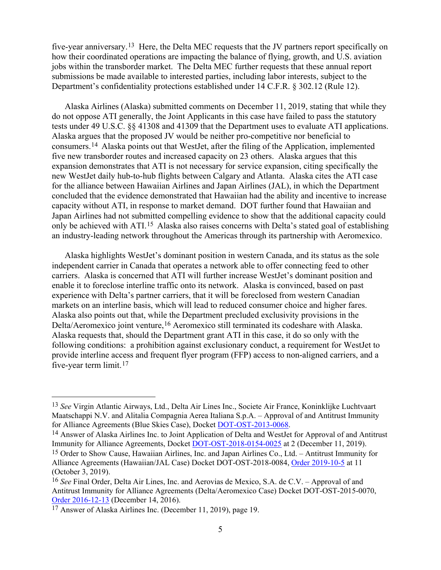five-year anniversary.[13](#page-4-0) Here, the Delta MEC requests that the JV partners report specifically on how their coordinated operations are impacting the balance of flying, growth, and U.S. aviation jobs within the transborder market. The Delta MEC further requests that these annual report submissions be made available to interested parties, including labor interests, subject to the Department's confidentiality protections established under 14 C.F.R. § 302.12 (Rule 12).

Alaska Airlines (Alaska) submitted comments on December 11, 2019, stating that while they do not oppose ATI generally, the Joint Applicants in this case have failed to pass the statutory tests under 49 U.S.C. §§ 41308 and 41309 that the Department uses to evaluate ATI applications. Alaska argues that the proposed JV would be neither pro-competitive nor beneficial to consumers.[14](#page-4-1) Alaska points out that WestJet, after the filing of the Application, implemented five new transborder routes and increased capacity on 23 others. Alaska argues that this expansion demonstrates that ATI is not necessary for service expansion, citing specifically the new WestJet daily hub-to-hub flights between Calgary and Atlanta. Alaska cites the ATI case for the alliance between Hawaiian Airlines and Japan Airlines (JAL), in which the Department concluded that the evidence demonstrated that Hawaiian had the ability and incentive to increase capacity without ATI, in response to market demand. DOT further found that Hawaiian and Japan Airlines had not submitted compelling evidence to show that the additional capacity could only be achieved with ATI.[15](#page-4-2) Alaska also raises concerns with Delta's stated goal of establishing an industry-leading network throughout the Americas through its partnership with Aeromexico.

Alaska highlights WestJet's dominant position in western Canada, and its status as the sole independent carrier in Canada that operates a network able to offer connecting feed to other carriers. Alaska is concerned that ATI will further increase WestJet's dominant position and enable it to foreclose interline traffic onto its network. Alaska is convinced, based on past experience with Delta's partner carriers, that it will be foreclosed from western Canadian markets on an interline basis, which will lead to reduced consumer choice and higher fares. Alaska also points out that, while the Department precluded exclusivity provisions in the Delta/Aeromexico joint venture,<sup>[16](#page-4-3)</sup> Aeromexico still terminated its codeshare with Alaska. Alaska requests that, should the Department grant ATI in this case, it do so only with the following conditions: a prohibition against exclusionary conduct, a requirement for WestJet to provide interline access and frequent flyer program (FFP) access to non-aligned carriers, and a five-year term limit.[17](#page-4-4)

<span id="page-4-0"></span> <sup>13</sup> *See* Virgin Atlantic Airways, Ltd., Delta Air Lines Inc., Societe Air France, Koninklijke Luchtvaart Maatschappi N.V. and Alitalia Compagnia Aerea Italiana S.p.A. – Approval of and Antitrust Immunity for Alliance Agreements (Blue Skies Case), Docket [DOT-OST-2013-0068.](https://www.regulations.gov/docket?D=DOT-OST-2013-0068)

<span id="page-4-1"></span><sup>14</sup> Answer of Alaska Airlines Inc. to Joint Application of Delta and WestJet for Approval of and Antitrust Immunity for Alliance Agreements, Docket [DOT-OST-2018-0154-0025](https://www.regulations.gov/document?D=DOT-OST-2018-0154-0025) at 2 (December 11, 2019).

<span id="page-4-2"></span><sup>15</sup> Order to Show Cause, Hawaiian Airlines, Inc. and Japan Airlines Co., Ltd. – Antitrust Immunity for Alliance Agreements (Hawaiian/JAL Case) Docket DOT-OST-2018-0084, [Order 2019-10-5](https://www.regulations.gov/document?D=DOT-OST-2018-0084-0040) at 11 (October 3, 2019).

<span id="page-4-3"></span><sup>16</sup> *See* Final Order, Delta Air Lines, Inc. and Aerovias de Mexico, S.A. de C.V. – Approval of and Antitrust Immunity for Alliance Agreements (Delta/Aeromexico Case) Docket DOT-OST-2015-0070, [Order 2016-12-13](https://www.regulations.gov/document?D=DOT-OST-2015-0070-0096) (December 14, 2016).

<span id="page-4-4"></span><sup>17</sup> Answer of Alaska Airlines Inc. (December 11, 2019), page 19.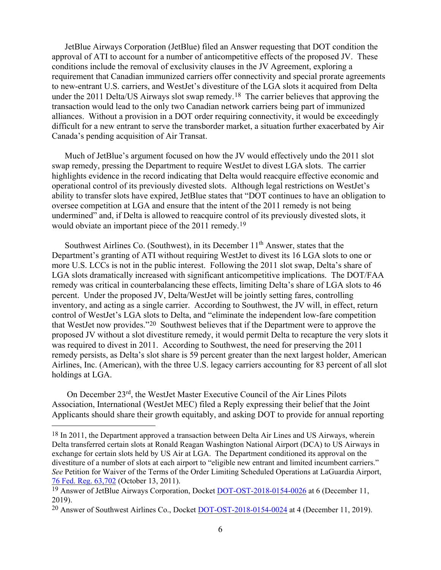JetBlue Airways Corporation (JetBlue) filed an Answer requesting that DOT condition the approval of ATI to account for a number of anticompetitive effects of the proposed JV. These conditions include the removal of exclusivity clauses in the JV Agreement, exploring a requirement that Canadian immunized carriers offer connectivity and special prorate agreements to new-entrant U.S. carriers, and WestJet's divestiture of the LGA slots it acquired from Delta under the 2011 Delta/US Airways slot swap remedy.[18](#page-5-0) The carrier believes that approving the transaction would lead to the only two Canadian network carriers being part of immunized alliances. Without a provision in a DOT order requiring connectivity, it would be exceedingly difficult for a new entrant to serve the transborder market, a situation further exacerbated by Air Canada's pending acquisition of Air Transat.

Much of JetBlue's argument focused on how the JV would effectively undo the 2011 slot swap remedy, pressing the Department to require WestJet to divest LGA slots. The carrier highlights evidence in the record indicating that Delta would reacquire effective economic and operational control of its previously divested slots. Although legal restrictions on WestJet's ability to transfer slots have expired, JetBlue states that "DOT continues to have an obligation to oversee competition at LGA and ensure that the intent of the 2011 remedy is not being undermined" and, if Delta is allowed to reacquire control of its previously divested slots, it would obviate an important piece of the 2011 remedy.[19](#page-5-1) 

Southwest Airlines Co. (Southwest), in its December  $11<sup>th</sup>$  Answer, states that the Department's granting of ATI without requiring WestJet to divest its 16 LGA slots to one or more U.S. LCCs is not in the public interest. Following the 2011 slot swap, Delta's share of LGA slots dramatically increased with significant anticompetitive implications. The DOT/FAA remedy was critical in counterbalancing these effects, limiting Delta's share of LGA slots to 46 percent. Under the proposed JV, Delta/WestJet will be jointly setting fares, controlling inventory, and acting as a single carrier. According to Southwest, the JV will, in effect, return control of WestJet's LGA slots to Delta, and "eliminate the independent low-fare competition that WestJet now provides."[20](#page-5-2) Southwest believes that if the Department were to approve the proposed JV without a slot divestiture remedy, it would permit Delta to recapture the very slots it was required to divest in 2011. According to Southwest, the need for preserving the 2011 remedy persists, as Delta's slot share is 59 percent greater than the next largest holder, American Airlines, Inc. (American), with the three U.S. legacy carriers accounting for 83 percent of all slot holdings at LGA.

On December 23rd, the WestJet Master Executive Council of the Air Lines Pilots Association, International (WestJet MEC) filed a Reply expressing their belief that the Joint Applicants should share their growth equitably, and asking DOT to provide for annual reporting

<span id="page-5-0"></span><sup>&</sup>lt;sup>18</sup> In 2011, the Department approved a transaction between Delta Air Lines and US Airways, wherein Delta transferred certain slots at Ronald Reagan Washington National Airport (DCA) to US Airways in exchange for certain slots held by US Air at LGA. The Department conditioned its approval on the divestiture of a number of slots at each airport to "eligible new entrant and limited incumbent carriers." *See* Petition for Waiver of the Terms of the Order Limiting Scheduled Operations at LaGuardia Airport, [76 Fed. Reg. 63,702](https://www.govinfo.gov/content/pkg/FR-2011-10-13/pdf/2011-26465.pdf) (October 13, 2011).

<span id="page-5-1"></span><sup>&</sup>lt;sup>19</sup> Answer of JetBlue Airways Corporation, Docket [DOT-OST-2018-0154-0026](https://www.regulations.gov/document?D=DOT-OST-2018-0154-0026) at 6 (December 11, 2019).

<span id="page-5-2"></span><sup>20</sup> Answer of Southwest Airlines Co., Docket [DOT-OST-2018-0154-0024](https://www.regulations.gov/document?D=DOT-OST-2018-0154-0024) at 4 (December 11, 2019).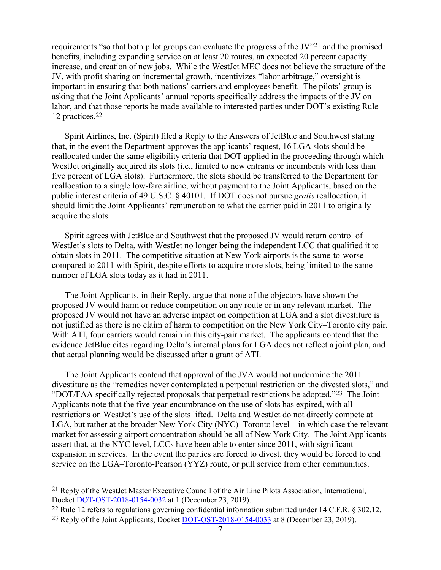requirements "so that both pilot groups can evaluate the progress of the JV"[21](#page-6-0) and the promised benefits, including expanding service on at least 20 routes, an expected 20 percent capacity increase, and creation of new jobs. While the WestJet MEC does not believe the structure of the JV, with profit sharing on incremental growth, incentivizes "labor arbitrage," oversight is important in ensuring that both nations' carriers and employees benefit. The pilots' group is asking that the Joint Applicants' annual reports specifically address the impacts of the JV on labor, and that those reports be made available to interested parties under DOT's existing Rule 12 practices.[22](#page-6-1)

Spirit Airlines, Inc. (Spirit) filed a Reply to the Answers of JetBlue and Southwest stating that, in the event the Department approves the applicants' request, 16 LGA slots should be reallocated under the same eligibility criteria that DOT applied in the proceeding through which WestJet originally acquired its slots (i.e., limited to new entrants or incumbents with less than five percent of LGA slots). Furthermore, the slots should be transferred to the Department for reallocation to a single low-fare airline, without payment to the Joint Applicants, based on the public interest criteria of 49 U.S.C. § 40101. If DOT does not pursue *gratis* reallocation, it should limit the Joint Applicants' remuneration to what the carrier paid in 2011 to originally acquire the slots.

Spirit agrees with JetBlue and Southwest that the proposed JV would return control of WestJet's slots to Delta, with WestJet no longer being the independent LCC that qualified it to obtain slots in 2011. The competitive situation at New York airports is the same-to-worse compared to 2011 with Spirit, despite efforts to acquire more slots, being limited to the same number of LGA slots today as it had in 2011.

The Joint Applicants, in their Reply, argue that none of the objectors have shown the proposed JV would harm or reduce competition on any route or in any relevant market. The proposed JV would not have an adverse impact on competition at LGA and a slot divestiture is not justified as there is no claim of harm to competition on the New York City–Toronto city pair. With ATI, four carriers would remain in this city-pair market. The applicants contend that the evidence JetBlue cites regarding Delta's internal plans for LGA does not reflect a joint plan, and that actual planning would be discussed after a grant of ATI.

The Joint Applicants contend that approval of the JVA would not undermine the 2011 divestiture as the "remedies never contemplated a perpetual restriction on the divested slots," and "DOT/FAA specifically rejected proposals that perpetual restrictions be adopted."[23](#page-6-2) The Joint Applicants note that the five-year encumbrance on the use of slots has expired, with all restrictions on WestJet's use of the slots lifted. Delta and WestJet do not directly compete at LGA, but rather at the broader New York City (NYC)–Toronto level—in which case the relevant market for assessing airport concentration should be all of New York City. The Joint Applicants assert that, at the NYC level, LCCs have been able to enter since 2011, with significant expansion in services. In the event the parties are forced to divest, they would be forced to end service on the LGA–Toronto-Pearson (YYZ) route, or pull service from other communities.

<span id="page-6-0"></span> <sup>21</sup> Reply of the WestJet Master Executive Council of the Air Line Pilots Association, International, Docket [DOT-OST-2018-0154-0032](https://www.regulations.gov/document?D=DOT-OST-2018-0154-0032) at 1 (December 23, 2019).

<span id="page-6-1"></span><sup>22</sup> Rule 12 refers to regulations governing confidential information submitted under 14 C.F.R. § 302.12.

<span id="page-6-2"></span><sup>&</sup>lt;sup>23</sup> Reply of the Joint Applicants, Docket [DOT-OST-2018-0154-0033](https://www.regulations.gov/document?D=DOT-OST-2018-0154-0033) at 8 (December 23, 2019).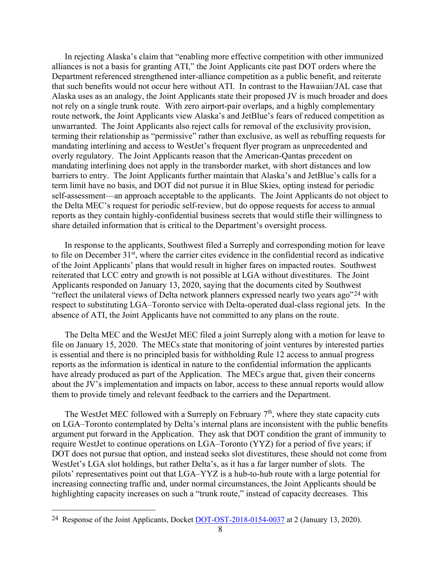In rejecting Alaska's claim that "enabling more effective competition with other immunized alliances is not a basis for granting ATI," the Joint Applicants cite past DOT orders where the Department referenced strengthened inter-alliance competition as a public benefit, and reiterate that such benefits would not occur here without ATI. In contrast to the Hawaiian/JAL case that Alaska uses as an analogy, the Joint Applicants state their proposed JV is much broader and does not rely on a single trunk route. With zero airport-pair overlaps, and a highly complementary route network, the Joint Applicants view Alaska's and JetBlue's fears of reduced competition as unwarranted. The Joint Applicants also reject calls for removal of the exclusivity provision, terming their relationship as "permissive" rather than exclusive, as well as rebuffing requests for mandating interlining and access to WestJet's frequent flyer program as unprecedented and overly regulatory. The Joint Applicants reason that the American-Qantas precedent on mandating interlining does not apply in the transborder market, with short distances and low barriers to entry. The Joint Applicants further maintain that Alaska's and JetBlue's calls for a term limit have no basis, and DOT did not pursue it in Blue Skies, opting instead for periodic self-assessment—an approach acceptable to the applicants. The Joint Applicants do not object to the Delta MEC's request for periodic self-review, but do oppose requests for access to annual reports as they contain highly-confidential business secrets that would stifle their willingness to share detailed information that is critical to the Department's oversight process.

In response to the applicants, Southwest filed a Surreply and corresponding motion for leave to file on December  $31<sup>st</sup>$ , where the carrier cites evidence in the confidential record as indicative of the Joint Applicants' plans that would result in higher fares on impacted routes. Southwest reiterated that LCC entry and growth is not possible at LGA without divestitures. The Joint Applicants responded on January 13, 2020, saying that the documents cited by Southwest "reflect the unilateral views of Delta network planners expressed nearly two years ago"[24](#page-7-0) with respect to substituting LGA–Toronto service with Delta-operated dual-class regional jets. In the absence of ATI, the Joint Applicants have not committed to any plans on the route.

The Delta MEC and the WestJet MEC filed a joint Surreply along with a motion for leave to file on January 15, 2020. The MECs state that monitoring of joint ventures by interested parties is essential and there is no principled basis for withholding Rule 12 access to annual progress reports as the information is identical in nature to the confidential information the applicants have already produced as part of the Application. The MECs argue that, given their concerns about the JV's implementation and impacts on labor, access to these annual reports would allow them to provide timely and relevant feedback to the carriers and the Department.

The WestJet MEC followed with a Surreply on February  $7<sup>th</sup>$ , where they state capacity cuts on LGA–Toronto contemplated by Delta's internal plans are inconsistent with the public benefits argument put forward in the Application. They ask that DOT condition the grant of immunity to require WestJet to continue operations on LGA–Toronto (YYZ) for a period of five years; if DOT does not pursue that option, and instead seeks slot divestitures, these should not come from WestJet's LGA slot holdings, but rather Delta's, as it has a far larger number of slots. The pilots' representatives point out that LGA–YYZ is a hub-to-hub route with a large potential for increasing connecting traffic and, under normal circumstances, the Joint Applicants should be highlighting capacity increases on such a "trunk route," instead of capacity decreases. This

<span id="page-7-0"></span> <sup>24</sup> Response of the Joint Applicants, Docket [DOT-OST-2018-0154-0037](https://www.regulations.gov/document?D=DOT-OST-2018-0154-0037) at 2 (January 13, 2020).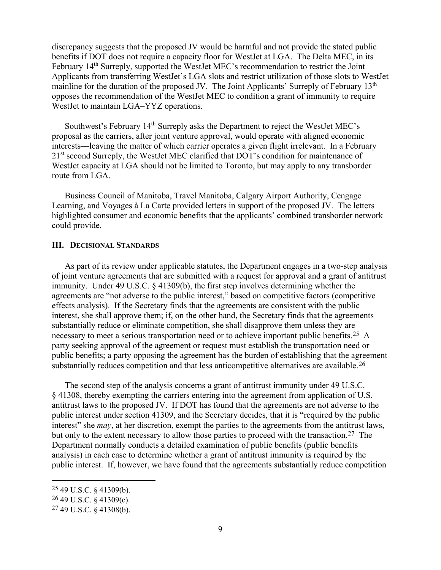discrepancy suggests that the proposed JV would be harmful and not provide the stated public benefits if DOT does not require a capacity floor for WestJet at LGA. The Delta MEC, in its February 14<sup>th</sup> Surreply, supported the WestJet MEC's recommendation to restrict the Joint Applicants from transferring WestJet's LGA slots and restrict utilization of those slots to WestJet mainline for the duration of the proposed JV. The Joint Applicants' Surreply of February 13<sup>th</sup> opposes the recommendation of the WestJet MEC to condition a grant of immunity to require WestJet to maintain LGA–YYZ operations.

Southwest's February  $14<sup>th</sup>$  Surreply asks the Department to reject the WestJet MEC's proposal as the carriers, after joint venture approval, would operate with aligned economic interests—leaving the matter of which carrier operates a given flight irrelevant. In a February 21<sup>st</sup> second Surreply, the WestJet MEC clarified that DOT's condition for maintenance of WestJet capacity at LGA should not be limited to Toronto, but may apply to any transborder route from LGA.

Business Council of Manitoba, Travel Manitoba, Calgary Airport Authority, Cengage Learning, and Voyages à La Carte provided letters in support of the proposed JV. The letters highlighted consumer and economic benefits that the applicants' combined transborder network could provide.

#### **III. DECISIONAL STANDARDS**

As part of its review under applicable statutes, the Department engages in a two-step analysis of joint venture agreements that are submitted with a request for approval and a grant of antitrust immunity. Under 49 U.S.C. § 41309(b), the first step involves determining whether the agreements are "not adverse to the public interest," based on competitive factors (competitive effects analysis). If the Secretary finds that the agreements are consistent with the public interest, she shall approve them; if, on the other hand, the Secretary finds that the agreements substantially reduce or eliminate competition, she shall disapprove them unless they are necessary to meet a serious transportation need or to achieve important public benefits.[25](#page-8-0) A party seeking approval of the agreement or request must establish the transportation need or public benefits; a party opposing the agreement has the burden of establishing that the agreement substantially reduces competition and that less anticompetitive alternatives are available.<sup>[26](#page-8-1)</sup>

The second step of the analysis concerns a grant of antitrust immunity under 49 U.S.C. § 41308, thereby exempting the carriers entering into the agreement from application of U.S. antitrust laws to the proposed JV. If DOT has found that the agreements are not adverse to the public interest under section 41309, and the Secretary decides, that it is "required by the public interest" she *may*, at her discretion, exempt the parties to the agreements from the antitrust laws, but only to the extent necessary to allow those parties to proceed with the transaction.<sup>[27](#page-8-2)</sup> The Department normally conducts a detailed examination of public benefits (public benefits analysis) in each case to determine whether a grant of antitrust immunity is required by the public interest. If, however, we have found that the agreements substantially reduce competition

<span id="page-8-0"></span> <sup>25</sup> 49 U.S.C. § 41309(b).

<span id="page-8-1"></span><sup>26</sup> 49 U.S.C. § 41309(c).

<span id="page-8-2"></span><sup>27</sup> 49 U.S.C. § 41308(b).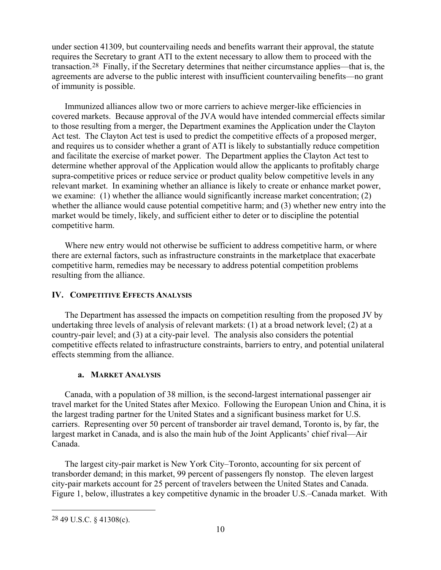under section 41309, but countervailing needs and benefits warrant their approval, the statute requires the Secretary to grant ATI to the extent necessary to allow them to proceed with the transaction.[28](#page-9-0) Finally, if the Secretary determines that neither circumstance applies—that is, the agreements are adverse to the public interest with insufficient countervailing benefits—no grant of immunity is possible.

Immunized alliances allow two or more carriers to achieve merger-like efficiencies in covered markets. Because approval of the JVA would have intended commercial effects similar to those resulting from a merger, the Department examines the Application under the Clayton Act test. The Clayton Act test is used to predict the competitive effects of a proposed merger, and requires us to consider whether a grant of ATI is likely to substantially reduce competition and facilitate the exercise of market power. The Department applies the Clayton Act test to determine whether approval of the Application would allow the applicants to profitably charge supra-competitive prices or reduce service or product quality below competitive levels in any relevant market. In examining whether an alliance is likely to create or enhance market power, we examine: (1) whether the alliance would significantly increase market concentration; (2) whether the alliance would cause potential competitive harm; and (3) whether new entry into the market would be timely, likely, and sufficient either to deter or to discipline the potential competitive harm.

Where new entry would not otherwise be sufficient to address competitive harm, or where there are external factors, such as infrastructure constraints in the marketplace that exacerbate competitive harm, remedies may be necessary to address potential competition problems resulting from the alliance.

## **IV. COMPETITIVE EFFECTS ANALYSIS**

The Department has assessed the impacts on competition resulting from the proposed JV by undertaking three levels of analysis of relevant markets: (1) at a broad network level; (2) at a country-pair level; and (3) at a city-pair level. The analysis also considers the potential competitive effects related to infrastructure constraints, barriers to entry, and potential unilateral effects stemming from the alliance.

## **a. MARKET ANALYSIS**

Canada, with a population of 38 million, is the second-largest international passenger air travel market for the United States after Mexico. Following the European Union and China, it is the largest trading partner for the United States and a significant business market for U.S. carriers. Representing over 50 percent of transborder air travel demand, Toronto is, by far, the largest market in Canada, and is also the main hub of the Joint Applicants' chief rival—Air Canada.

The largest city-pair market is New York City–Toronto, accounting for six percent of transborder demand; in this market, 99 percent of passengers fly nonstop. The eleven largest city-pair markets account for 25 percent of travelers between the United States and Canada. [Figure 1,](#page-10-0) below, illustrates a key competitive dynamic in the broader U.S.–Canada market. With

<span id="page-9-0"></span> <sup>28</sup> 49 U.S.C. § 41308(c).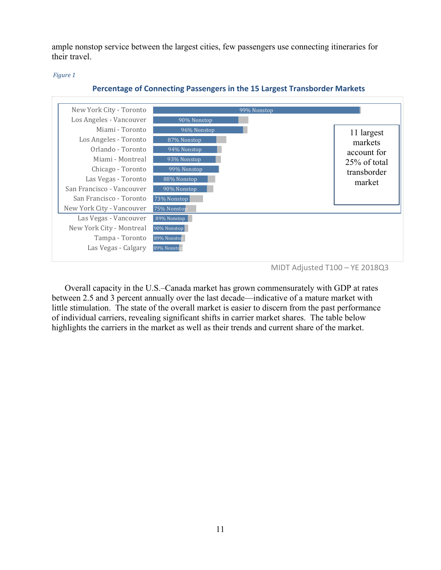ample nonstop service between the largest cities, few passengers use connecting itineraries for their travel.

<span id="page-10-0"></span>*Figure 1*



#### **Percentage of Connecting Passengers in the 15 Largest Transborder Markets**

Overall capacity in the U.S.–Canada market has grown commensurately with GDP at rates between 2.5 and 3 percent annually over the last decade—indicative of a mature market with little stimulation. The state of the overall market is easier to discern from the past performance of individual carriers, revealing significant shifts in carrier market shares. The table below highlights the carriers in the market as well as their trends and current share of the market.

MIDT Adjusted T100 – YE 2018Q3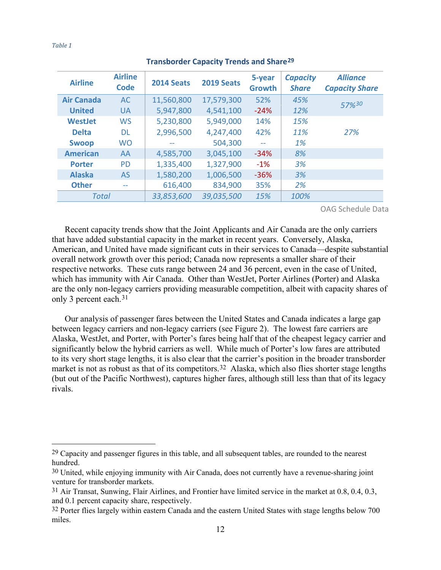<span id="page-11-4"></span>**Airline Airline Code 2014 Seats 2019 Seats 5-year Growth** *Capacity Share Alliance Capacity Share* **Air Canada** AC 11,560,800 17,579,300 52% *45% 57%[30](#page-11-1)* **United** UA 5,947,800 4,541,100 -24% *12%* **WestJet** WS 5,230,800 5,949,000 14% *15%* **Delta** DL 2,996,500 4,247,400 42% *11% 27%* **Swoop** WO -- 504,300 -- *1%* **American** AA 4,585,700 3,045,100 -34% *8%* **Porter** PD 1,335,400 1,327,900 -1% *3%* **Alaska** AS 1,580,200 1,006,500 -36% *3%* **Other** -- 616,400 834,900 35% *2% Total 33,853,600 39,035,500 15% 100%*

#### **Transborder Capacity Trends and Share[29](#page-11-0)**

OAG Schedule Data

Recent capacity trends show that the Joint Applicants and Air Canada are the only carriers that have added substantial capacity in the market in recent years. Conversely, Alaska, American, and United have made significant cuts in their services to Canada—despite substantial overall network growth over this period; Canada now represents a smaller share of their respective networks. These cuts range between 24 and 36 percent, even in the case of United, which has immunity with Air Canada. Other than WestJet, Porter Airlines (Porter) and Alaska are the only non-legacy carriers providing measurable competition, albeit with capacity shares of only 3 percent each.[31](#page-11-2)

Our analysis of passenger fares between the United States and Canada indicates a large gap between legacy carriers and non-legacy carriers (see [Figure 2\)](#page-12-0). The lowest fare carriers are Alaska, WestJet, and Porter, with Porter's fares being half that of the cheapest legacy carrier and significantly below the hybrid carriers as well. While much of Porter's low fares are attributed to its very short stage lengths, it is also clear that the carrier's position in the broader transborder market is not as robust as that of its competitors.<sup>[32](#page-11-3)</sup> Alaska, which also flies shorter stage lengths (but out of the Pacific Northwest), captures higher fares, although still less than that of its legacy rivals.

<span id="page-11-0"></span> $29$  Capacity and passenger figures in this table, and all subsequent tables, are rounded to the nearest hundred.

<span id="page-11-1"></span><sup>&</sup>lt;sup>30</sup> United, while enjoying immunity with Air Canada, does not currently have a revenue-sharing joint venture for transborder markets.

<span id="page-11-2"></span><sup>31</sup> Air Transat, Sunwing, Flair Airlines, and Frontier have limited service in the market at 0.8, 0.4, 0.3, and 0.1 percent capacity share, respectively.

<span id="page-11-3"></span><sup>&</sup>lt;sup>32</sup> Porter flies largely within eastern Canada and the eastern United States with stage lengths below 700 miles.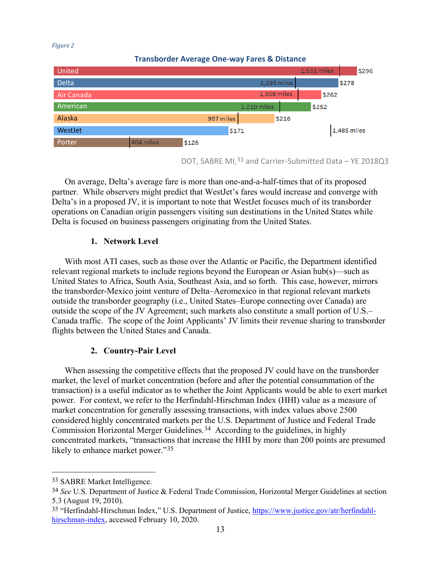#### <span id="page-12-0"></span>*Figure 2*



DOT, SABRE MI,[33](#page-12-1) and Carrier-Submitted Data – YE 2018Q3

On average, Delta's average fare is more than one-and-a-half-times that of its proposed partner. While observers might predict that WestJet's fares would increase and converge with Delta's in a proposed JV, it is important to note that WestJet focuses much of its transborder operations on Canadian origin passengers visiting sun destinations in the United States while Delta is focused on business passengers originating from the United States.

## **1. Network Level**

With most ATI cases, such as those over the Atlantic or Pacific, the Department identified relevant regional markets to include regions beyond the European or Asian hub(s)—such as United States to Africa, South Asia, Southeast Asia, and so forth. This case, however, mirrors the transborder-Mexico joint venture of Delta–Aeromexico in that regional relevant markets outside the transborder geography (i.e., United States–Europe connecting over Canada) are outside the scope of the JV Agreement; such markets also constitute a small portion of U.S.– Canada traffic. The scope of the Joint Applicants' JV limits their revenue sharing to transborder flights between the United States and Canada.

## **2. Country-Pair Level**

When assessing the competitive effects that the proposed JV could have on the transborder market, the level of market concentration (before and after the potential consummation of the transaction) is a useful indicator as to whether the Joint Applicants would be able to exert market power. For context, we refer to the Herfindahl-Hirschman Index (HHI) value as a measure of market concentration for generally assessing transactions, with index values above 2500 considered highly concentrated markets per the U.S. Department of Justice and Federal Trade Commission Horizontal Merger Guidelines.<sup>34</sup> According to the guidelines, in highly concentrated markets, "transactions that increase the HHI by more than 200 points are presumed likely to enhance market power."<sup>[35](#page-12-3)</sup>

 $\overline{a}$ 

<span id="page-12-1"></span><sup>33</sup> SABRE Market Intelligence.

<span id="page-12-2"></span><sup>34</sup> *See* U.S. Department of Justice & Federal Trade Commission, [Horizontal Merger Guidelines](https://www.justice.gov/atr/public/guidelines/hmg-2010.html#5c) at [section](https://www.justice.gov/atr/public/guidelines/hmg-2010.html#5c) [5.3](https://www.justice.gov/atr/public/guidelines/hmg-2010.html#5c) (August 19, 2010).

<span id="page-12-3"></span><sup>35</sup> "Herfindahl-Hirschman Index," U.S. Department of Justice, [https://www.justice.gov/atr/herfindahl](https://www.justice.gov/atr/herfindahl-hirschman-index)[hirschman-index,](https://www.justice.gov/atr/herfindahl-hirschman-index) accessed February 10, 2020.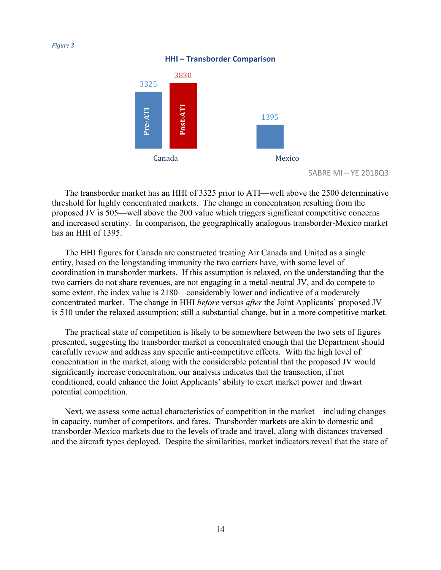**HHI – Transborder Comparison**



SABRE MI – YE 2018Q3

The transborder market has an HHI of 3325 prior to ATI—well above the 2500 determinative threshold for highly concentrated markets. The change in concentration resulting from the proposed JV is 505—well above the 200 value which triggers significant competitive concerns and increased scrutiny. In comparison, the geographically analogous transborder-Mexico market has an HHI of 1395.

The HHI figures for Canada are constructed treating Air Canada and United as a single entity, based on the longstanding immunity the two carriers have, with some level of coordination in transborder markets. If this assumption is relaxed, on the understanding that the two carriers do not share revenues, are not engaging in a metal-neutral JV, and do compete to some extent, the index value is 2180—considerably lower and indicative of a moderately concentrated market. The change in HHI *before* versus *after* the Joint Applicants' proposed JV is 510 under the relaxed assumption; still a substantial change, but in a more competitive market.

The practical state of competition is likely to be somewhere between the two sets of figures presented, suggesting the transborder market is concentrated enough that the Department should carefully review and address any specific anti-competitive effects. With the high level of concentration in the market, along with the considerable potential that the proposed JV would significantly increase concentration, our analysis indicates that the transaction, if not conditioned, could enhance the Joint Applicants' ability to exert market power and thwart potential competition.

Next, we assess some actual characteristics of competition in the market—including changes in capacity, number of competitors, and fares. Transborder markets are akin to domestic and transborder-Mexico markets due to the levels of trade and travel, along with distances traversed and the aircraft types deployed. Despite the similarities, market indicators reveal that the state of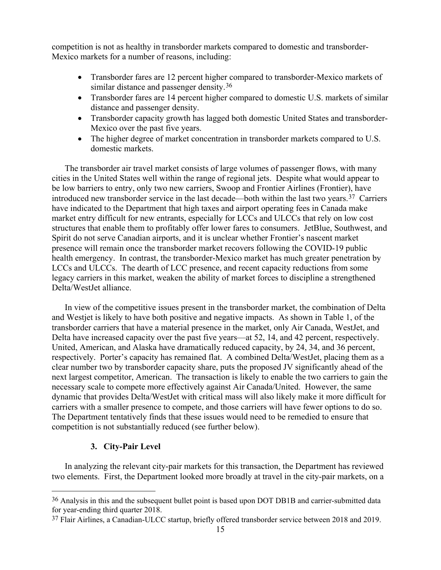competition is not as healthy in transborder markets compared to domestic and transborder-Mexico markets for a number of reasons, including:

- Transborder fares are 12 percent higher compared to transborder-Mexico markets of similar distance and passenger density.<sup>[36](#page-14-0)</sup>
- Transborder fares are 14 percent higher compared to domestic U.S. markets of similar distance and passenger density.
- Transborder capacity growth has lagged both domestic United States and transborder-Mexico over the past five years.
- The higher degree of market concentration in transborder markets compared to U.S. domestic markets.

The transborder air travel market consists of large volumes of passenger flows, with many cities in the United States well within the range of regional jets. Despite what would appear to be low barriers to entry, only two new carriers, Swoop and Frontier Airlines (Frontier), have introduced new transborder service in the last decade—both within the last two years.[37](#page-14-1) Carriers have indicated to the Department that high taxes and airport operating fees in Canada make market entry difficult for new entrants, especially for LCCs and ULCCs that rely on low cost structures that enable them to profitably offer lower fares to consumers. JetBlue, Southwest, and Spirit do not serve Canadian airports, and it is unclear whether Frontier's nascent market presence will remain once the transborder market recovers following the COVID-19 public health emergency. In contrast, the transborder-Mexico market has much greater penetration by LCCs and ULCCs. The dearth of LCC presence, and recent capacity reductions from some legacy carriers in this market, weaken the ability of market forces to discipline a strengthened Delta/WestJet alliance.

In view of the competitive issues present in the transborder market, the combination of Delta and Westjet is likely to have both positive and negative impacts. As shown in [Table 1,](#page-11-4) of the transborder carriers that have a material presence in the market, only Air Canada, WestJet, and Delta have increased capacity over the past five years—at 52, 14, and 42 percent, respectively. United, American, and Alaska have dramatically reduced capacity, by 24, 34, and 36 percent, respectively. Porter's capacity has remained flat. A combined Delta/WestJet, placing them as a clear number two by transborder capacity share, puts the proposed JV significantly ahead of the next largest competitor, American. The transaction is likely to enable the two carriers to gain the necessary scale to compete more effectively against Air Canada/United. However, the same dynamic that provides Delta/WestJet with critical mass will also likely make it more difficult for carriers with a smaller presence to compete, and those carriers will have fewer options to do so. The Department tentatively finds that these issues would need to be remedied to ensure that competition is not substantially reduced (see further below).

## **3. City-Pair Level**

In analyzing the relevant city-pair markets for this transaction, the Department has reviewed two elements. First, the Department looked more broadly at travel in the city-pair markets, on a

<span id="page-14-0"></span><sup>&</sup>lt;sup>36</sup> Analysis in this and the subsequent bullet point is based upon DOT DB1B and carrier-submitted data for year-ending third quarter 2018.

<span id="page-14-1"></span><sup>37</sup> Flair Airlines, a Canadian-ULCC startup, briefly offered transborder service between 2018 and 2019.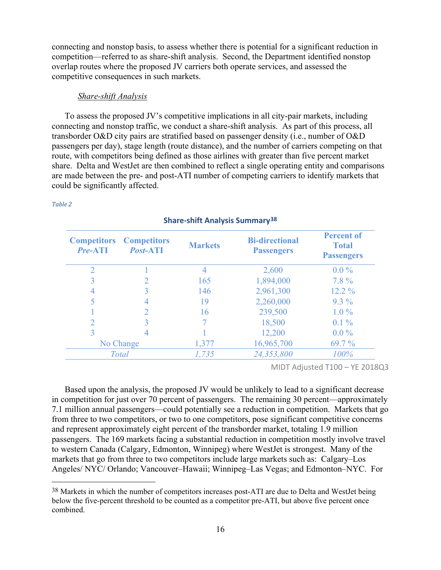connecting and nonstop basis, to assess whether there is potential for a significant reduction in competition—referred to as share-shift analysis. Second, the Department identified nonstop overlap routes where the proposed JV carriers both operate services, and assessed the competitive consequences in such markets.

#### *Share-shift Analysis*

To assess the proposed JV's competitive implications in all city-pair markets, including connecting and nonstop traffic, we conduct a share-shift analysis. As part of this process, all transborder O&D city pairs are stratified based on passenger density (i.e., number of O&D passengers per day), stage length (route distance), and the number of carriers competing on that route, with competitors being defined as those airlines with greater than five percent market share. Delta and WestJet are then combined to reflect a single operating entity and comparisons are made between the pre- and post-ATI number of competing carriers to identify markets that could be significantly affected.

#### *Table 2*

| <b>Competitors</b><br><b>Pre-ATI</b> | <b>Competitors</b><br><b>Post-ATI</b> | <b>Markets</b> | <b>Bi-directional</b><br><b>Passengers</b> | <b>Percent of</b><br><b>Total</b><br><b>Passengers</b> |
|--------------------------------------|---------------------------------------|----------------|--------------------------------------------|--------------------------------------------------------|
| ◠                                    |                                       |                | 2,600                                      | $0.0\%$                                                |
|                                      |                                       | 165            | 1,894,000                                  | $7.8\%$                                                |
| 4                                    |                                       | 146            | 2,961,300                                  | $12.2\%$                                               |
| 5                                    |                                       | 19             | 2,260,000                                  | $9.3\%$                                                |
|                                      |                                       | 16             | 239,500                                    | $1.0\%$                                                |
|                                      |                                       |                | 18,500                                     | $0.1\%$                                                |
| 3                                    |                                       |                | 12,200                                     | $0.0\%$                                                |
| No Change                            |                                       | 1,377          | 16,965,700                                 | $69.7\%$                                               |
| <b>Total</b>                         |                                       | 1,735          | 24,353,800                                 | 100%                                                   |

## **Share-shift Analysis Summary[38](#page-15-0)**

MIDT Adjusted T100 – YE 2018Q3

Based upon the analysis, the proposed JV would be unlikely to lead to a significant decrease in competition for just over 70 percent of passengers. The remaining 30 percent—approximately 7.1 million annual passengers—could potentially see a reduction in competition. Markets that go from three to two competitors, or two to one competitors, pose significant competitive concerns and represent approximately eight percent of the transborder market, totaling 1.9 million passengers. The 169 markets facing a substantial reduction in competition mostly involve travel to western Canada (Calgary, Edmonton, Winnipeg) where WestJet is strongest. Many of the markets that go from three to two competitors include large markets such as: Calgary–Los Angeles/ NYC/ Orlando; Vancouver–Hawaii; Winnipeg–Las Vegas; and Edmonton–NYC. For

<span id="page-15-0"></span><sup>&</sup>lt;sup>38</sup> Markets in which the number of competitors increases post-ATI are due to Delta and WestJet being below the five-percent threshold to be counted as a competitor pre-ATI, but above five percent once combined.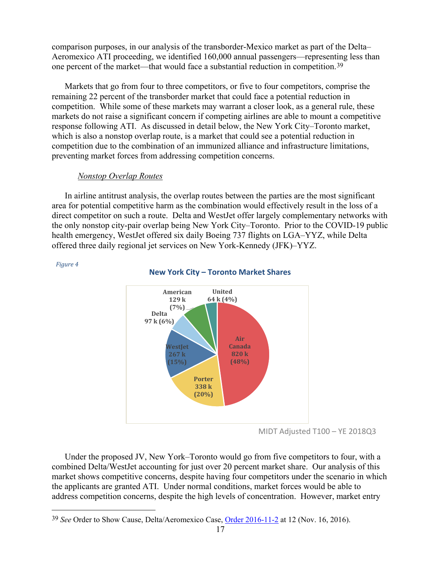comparison purposes, in our analysis of the transborder-Mexico market as part of the Delta– Aeromexico ATI proceeding, we identified 160,000 annual passengers—representing less than one percent of the market—that would face a substantial reduction in competition.[39](#page-16-0)

Markets that go from four to three competitors, or five to four competitors, comprise the remaining 22 percent of the transborder market that could face a potential reduction in competition. While some of these markets may warrant a closer look, as a general rule, these markets do not raise a significant concern if competing airlines are able to mount a competitive response following ATI. As discussed in detail below, the New York City–Toronto market, which is also a nonstop overlap route, is a market that could see a potential reduction in competition due to the combination of an immunized alliance and infrastructure limitations, preventing market forces from addressing competition concerns.

#### *Nonstop Overlap Routes*

*Figure 4*

In airline antitrust analysis, the overlap routes between the parties are the most significant area for potential competitive harm as the combination would effectively result in the loss of a direct competitor on such a route. Delta and WestJet offer largely complementary networks with the only nonstop city-pair overlap being New York City–Toronto. Prior to the COVID-19 public health emergency, WestJet offered six daily Boeing 737 flights on LGA–YYZ, while Delta offered three daily regional jet services on New York-Kennedy (JFK)–YYZ.



## **New York City – Toronto Market Shares**

Under the proposed JV, New York–Toronto would go from five competitors to four, with a combined Delta/WestJet accounting for just over 20 percent market share. Our analysis of this market shows competitive concerns, despite having four competitors under the scenario in which the applicants are granted ATI. Under normal conditions, market forces would be able to address competition concerns, despite the high levels of concentration. However, market entry

MIDT Adjusted T100 – YE 2018Q3

<span id="page-16-0"></span> <sup>39</sup> *See* Order to Show Cause, Delta/Aeromexico Case, [Order 2016-11-2](https://www.regulations.gov/document?D=DOT-OST-2015-0070-0074) at 12 (Nov. 16, 2016).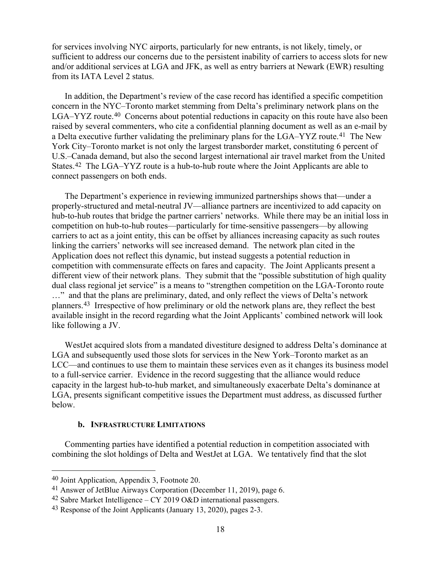for services involving NYC airports, particularly for new entrants, is not likely, timely, or sufficient to address our concerns due to the persistent inability of carriers to access slots for new and/or additional services at LGA and JFK, as well as entry barriers at Newark (EWR) resulting from its IATA Level 2 status.

In addition, the Department's review of the case record has identified a specific competition concern in the NYC–Toronto market stemming from Delta's preliminary network plans on the LGA–YYZ route.<sup>40</sup> Concerns about potential reductions in capacity on this route have also been raised by several commenters, who cite a confidential planning document as well as an e-mail by a Delta executive further validating the preliminary plans for the LGA–YYZ route.<sup>[41](#page-17-1)</sup> The New York City–Toronto market is not only the largest transborder market, constituting 6 percent of U.S.–Canada demand, but also the second largest international air travel market from the United States.[42](#page-17-2) The LGA–YYZ route is a hub-to-hub route where the Joint Applicants are able to connect passengers on both ends.

The Department's experience in reviewing immunized partnerships shows that—under a properly-structured and metal-neutral JV—alliance partners are incentivized to add capacity on hub-to-hub routes that bridge the partner carriers' networks. While there may be an initial loss in competition on hub-to-hub routes—particularly for time-sensitive passengers—by allowing carriers to act as a joint entity, this can be offset by alliances increasing capacity as such routes linking the carriers' networks will see increased demand. The network plan cited in the Application does not reflect this dynamic, but instead suggests a potential reduction in competition with commensurate effects on fares and capacity. The Joint Applicants present a different view of their network plans. They submit that the "possible substitution of high quality dual class regional jet service" is a means to "strengthen competition on the LGA-Toronto route …" and that the plans are preliminary, dated, and only reflect the views of Delta's network planners.[43](#page-17-3) Irrespective of how preliminary or old the network plans are, they reflect the best available insight in the record regarding what the Joint Applicants' combined network will look like following a JV.

WestJet acquired slots from a mandated divestiture designed to address Delta's dominance at LGA and subsequently used those slots for services in the New York–Toronto market as an LCC—and continues to use them to maintain these services even as it changes its business model to a full-service carrier. Evidence in the record suggesting that the alliance would reduce capacity in the largest hub-to-hub market, and simultaneously exacerbate Delta's dominance at LGA, presents significant competitive issues the Department must address, as discussed further below.

#### **b. INFRASTRUCTURE LIMITATIONS**

Commenting parties have identified a potential reduction in competition associated with combining the slot holdings of Delta and WestJet at LGA. We tentatively find that the slot

<span id="page-17-0"></span> <sup>40</sup> Joint Application, Appendix 3, Footnote 20.

<span id="page-17-1"></span><sup>41</sup> Answer of JetBlue Airways Corporation (December 11, 2019), page 6.

<span id="page-17-2"></span><sup>&</sup>lt;sup>42</sup> Sabre Market Intelligence – CY 2019 O&D international passengers.

<span id="page-17-3"></span><sup>43</sup> Response of the Joint Applicants (January 13, 2020), pages 2-3.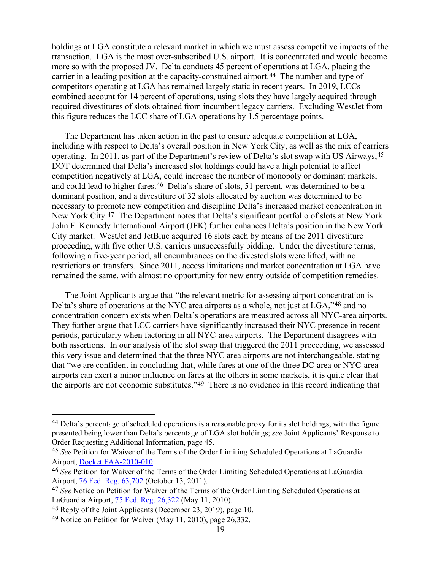holdings at LGA constitute a relevant market in which we must assess competitive impacts of the transaction. LGA is the most over-subscribed U.S. airport. It is concentrated and would become more so with the proposed JV. Delta conducts 45 percent of operations at LGA, placing the carrier in a leading position at the capacity-constrained airport.<sup>[44](#page-18-0)</sup> The number and type of competitors operating at LGA has remained largely static in recent years. In 2019, LCCs combined account for 14 percent of operations, using slots they have largely acquired through required divestitures of slots obtained from incumbent legacy carriers. Excluding WestJet from this figure reduces the LCC share of LGA operations by 1.5 percentage points.

The Department has taken action in the past to ensure adequate competition at LGA, including with respect to Delta's overall position in New York City, as well as the mix of carriers operating. In 2011, as part of the Department's review of Delta's slot swap with US Airways,[45](#page-18-1) DOT determined that Delta's increased slot holdings could have a high potential to affect competition negatively at LGA, could increase the number of monopoly or dominant markets, and could lead to higher fares.<sup>46</sup> Delta's share of slots, 51 percent, was determined to be a dominant position, and a divestiture of 32 slots allocated by auction was determined to be necessary to promote new competition and discipline Delta's increased market concentration in New York City.<sup>47</sup> The Department notes that Delta's significant portfolio of slots at New York John F. Kennedy International Airport (JFK) further enhances Delta's position in the New York City market. WestJet and JetBlue acquired 16 slots each by means of the 2011 divestiture proceeding, with five other U.S. carriers unsuccessfully bidding. Under the divestiture terms, following a five-year period, all encumbrances on the divested slots were lifted, with no restrictions on transfers. Since 2011, access limitations and market concentration at LGA have remained the same, with almost no opportunity for new entry outside of competition remedies.

The Joint Applicants argue that "the relevant metric for assessing airport concentration is Delta's share of operations at the NYC area airports as a whole, not just at LGA,"<sup>[48](#page-18-4)</sup> and no concentration concern exists when Delta's operations are measured across all NYC-area airports. They further argue that LCC carriers have significantly increased their NYC presence in recent periods, particularly when factoring in all NYC-area airports. The Department disagrees with both assertions. In our analysis of the slot swap that triggered the 2011 proceeding, we assessed this very issue and determined that the three NYC area airports are not interchangeable, stating that "we are confident in concluding that, while fares at one of the three DC-area or NYC-area airports can exert a minor influence on fares at the others in some markets, it is quite clear that the airports are not economic substitutes."[49](#page-18-5) There is no evidence in this record indicating that

<span id="page-18-0"></span><sup>&</sup>lt;sup>44</sup> Delta's percentage of scheduled operations is a reasonable proxy for its slot holdings, with the figure presented being lower than Delta's percentage of LGA slot holdings; *see* Joint Applicants' Response to Order Requesting Additional Information, page 45.

<span id="page-18-1"></span><sup>45</sup> *See* Petition for Waiver of the Terms of the Order Limiting Scheduled Operations at LaGuardia Airport, [Docket FAA-2010-010.](https://www.regulations.gov/docket?D=FAA-2010-0109)

<span id="page-18-2"></span><sup>46</sup> *See* Petition for Waiver of the Terms of the Order Limiting Scheduled Operations at LaGuardia Airport, [76 Fed. Reg. 63,702](https://www.govinfo.gov/content/pkg/FR-2011-10-13/pdf/2011-26465.pdf) (October 13, 2011).

<span id="page-18-3"></span><sup>47</sup> *See* Notice on Petition for Waiver of the Terms of the Order Limiting Scheduled Operations at LaGuardia Airport, [75 Fed. Reg. 26,322](https://www.govinfo.gov/content/pkg/FR-2010-05-11/pdf/2010-10978.pdf) (May 11, 2010).

<span id="page-18-4"></span><sup>&</sup>lt;sup>48</sup> Reply of the Joint Applicants (December 23, 2019), page 10.

<span id="page-18-5"></span><sup>49</sup> Notice on Petition for Waiver (May 11, 2010), page 26,332.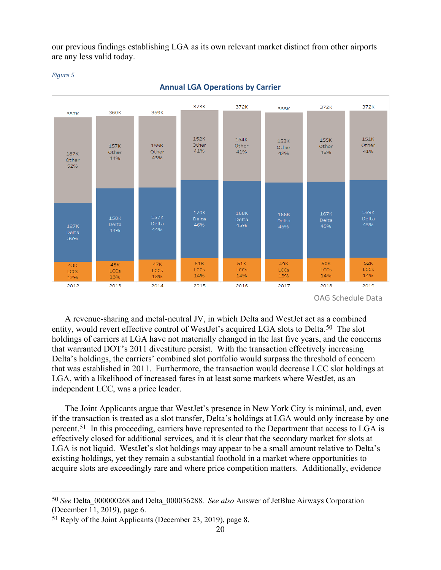our previous findings establishing LGA as its own relevant market distinct from other airports are any less valid today.





#### **Annual LGA Operations by Carrier**

OAG Schedule Data

A revenue-sharing and metal-neutral JV, in which Delta and WestJet act as a combined entity, would revert effective control of WestJet's acquired LGA slots to Delta.[50](#page-19-0) The slot holdings of carriers at LGA have not materially changed in the last five years, and the concerns that warranted DOT's 2011 divestiture persist. With the transaction effectively increasing Delta's holdings, the carriers' combined slot portfolio would surpass the threshold of concern that was established in 2011. Furthermore, the transaction would decrease LCC slot holdings at LGA, with a likelihood of increased fares in at least some markets where WestJet, as an independent LCC, was a price leader.

The Joint Applicants argue that WestJet's presence in New York City is minimal, and, even if the transaction is treated as a slot transfer, Delta's holdings at LGA would only increase by one percent.[51](#page-19-1) In this proceeding, carriers have represented to the Department that access to LGA is effectively closed for additional services, and it is clear that the secondary market for slots at LGA is not liquid. West Jet's slot holdings may appear to be a small amount relative to Delta's existing holdings, yet they remain a substantial foothold in a market where opportunities to acquire slots are exceedingly rare and where price competition matters. Additionally, evidence

<span id="page-19-0"></span> <sup>50</sup> *See* Delta\_000000268 and Delta\_000036288. *See also* Answer of JetBlue Airways Corporation (December 11, 2019), page 6.

<span id="page-19-1"></span><sup>51</sup> Reply of the Joint Applicants (December 23, 2019), page 8.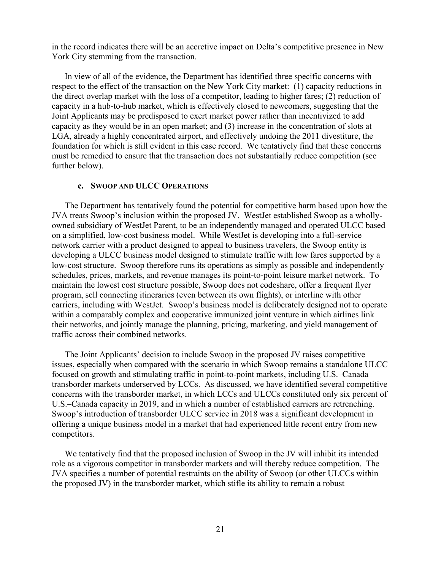in the record indicates there will be an accretive impact on Delta's competitive presence in New York City stemming from the transaction.

In view of all of the evidence, the Department has identified three specific concerns with respect to the effect of the transaction on the New York City market: (1) capacity reductions in the direct overlap market with the loss of a competitor, leading to higher fares; (2) reduction of capacity in a hub-to-hub market, which is effectively closed to newcomers, suggesting that the Joint Applicants may be predisposed to exert market power rather than incentivized to add capacity as they would be in an open market; and (3) increase in the concentration of slots at LGA, already a highly concentrated airport, and effectively undoing the 2011 divestiture, the foundation for which is still evident in this case record. We tentatively find that these concerns must be remedied to ensure that the transaction does not substantially reduce competition (see further below).

#### **c. SWOOP AND ULCC OPERATIONS**

The Department has tentatively found the potential for competitive harm based upon how the JVA treats Swoop's inclusion within the proposed JV. WestJet established Swoop as a whollyowned subsidiary of WestJet Parent, to be an independently managed and operated ULCC based on a simplified, low-cost business model. While WestJet is developing into a full-service network carrier with a product designed to appeal to business travelers, the Swoop entity is developing a ULCC business model designed to stimulate traffic with low fares supported by a low-cost structure. Swoop therefore runs its operations as simply as possible and independently schedules, prices, markets, and revenue manages its point-to-point leisure market network. To maintain the lowest cost structure possible, Swoop does not codeshare, offer a frequent flyer program, sell connecting itineraries (even between its own flights), or interline with other carriers, including with WestJet. Swoop's business model is deliberately designed not to operate within a comparably complex and cooperative immunized joint venture in which airlines link their networks, and jointly manage the planning, pricing, marketing, and yield management of traffic across their combined networks.

The Joint Applicants' decision to include Swoop in the proposed JV raises competitive issues, especially when compared with the scenario in which Swoop remains a standalone ULCC focused on growth and stimulating traffic in point-to-point markets, including U.S.–Canada transborder markets underserved by LCCs. As discussed, we have identified several competitive concerns with the transborder market, in which LCCs and ULCCs constituted only six percent of U.S.–Canada capacity in 2019, and in which a number of established carriers are retrenching. Swoop's introduction of transborder ULCC service in 2018 was a significant development in offering a unique business model in a market that had experienced little recent entry from new competitors.

We tentatively find that the proposed inclusion of Swoop in the JV will inhibit its intended role as a vigorous competitor in transborder markets and will thereby reduce competition. The JVA specifies a number of potential restraints on the ability of Swoop (or other ULCCs within the proposed JV) in the transborder market, which stifle its ability to remain a robust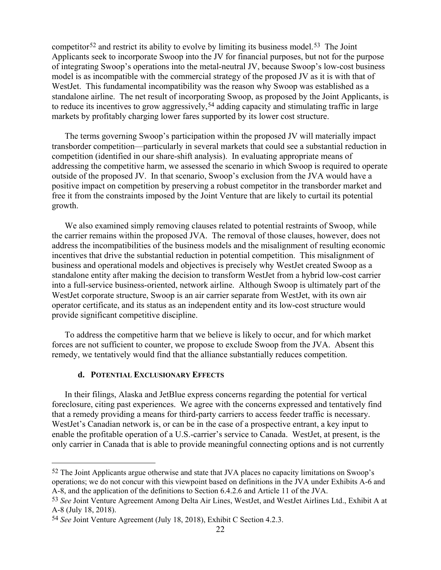competitor<sup>[52](#page-21-0)</sup> and restrict its ability to evolve by limiting its business model.<sup>53</sup> The Joint Applicants seek to incorporate Swoop into the JV for financial purposes, but not for the purpose of integrating Swoop's operations into the metal-neutral JV, because Swoop's low-cost business model is as incompatible with the commercial strategy of the proposed JV as it is with that of WestJet. This fundamental incompatibility was the reason why Swoop was established as a standalone airline. The net result of incorporating Swoop, as proposed by the Joint Applicants, is to reduce its incentives to grow aggressively,<sup>[54](#page-21-2)</sup> adding capacity and stimulating traffic in large markets by profitably charging lower fares supported by its lower cost structure.

The terms governing Swoop's participation within the proposed JV will materially impact transborder competition—particularly in several markets that could see a substantial reduction in competition (identified in our share-shift analysis). In evaluating appropriate means of addressing the competitive harm, we assessed the scenario in which Swoop is required to operate outside of the proposed JV. In that scenario, Swoop's exclusion from the JVA would have a positive impact on competition by preserving a robust competitor in the transborder market and free it from the constraints imposed by the Joint Venture that are likely to curtail its potential growth.

We also examined simply removing clauses related to potential restraints of Swoop, while the carrier remains within the proposed JVA. The removal of those clauses, however, does not address the incompatibilities of the business models and the misalignment of resulting economic incentives that drive the substantial reduction in potential competition. This misalignment of business and operational models and objectives is precisely why WestJet created Swoop as a standalone entity after making the decision to transform WestJet from a hybrid low-cost carrier into a full-service business-oriented, network airline. Although Swoop is ultimately part of the WestJet corporate structure, Swoop is an air carrier separate from WestJet, with its own air operator certificate, and its status as an independent entity and its low-cost structure would provide significant competitive discipline.

To address the competitive harm that we believe is likely to occur, and for which market forces are not sufficient to counter, we propose to exclude Swoop from the JVA. Absent this remedy, we tentatively would find that the alliance substantially reduces competition.

#### **d. POTENTIAL EXCLUSIONARY EFFECTS**

In their filings, Alaska and JetBlue express concerns regarding the potential for vertical foreclosure, citing past experiences. We agree with the concerns expressed and tentatively find that a remedy providing a means for third-party carriers to access feeder traffic is necessary. West Jet's Canadian network is, or can be in the case of a prospective entrant, a key input to enable the profitable operation of a U.S.-carrier's service to Canada. WestJet, at present, is the only carrier in Canada that is able to provide meaningful connecting options and is not currently

<span id="page-21-0"></span> <sup>52</sup> The Joint Applicants argue otherwise and state that JVA places no capacity limitations on Swoop's operations; we do not concur with this viewpoint based on definitions in the JVA under Exhibits A-6 and A-8, and the application of the definitions to Section 6.4.2.6 and Article 11 of the JVA.

<span id="page-21-1"></span><sup>53</sup> *See* Joint Venture Agreement Among Delta Air Lines, WestJet, and WestJet Airlines Ltd., Exhibit A at A-8 (July 18, 2018).

<span id="page-21-2"></span><sup>54</sup> *See* Joint Venture Agreement (July 18, 2018), Exhibit C Section 4.2.3.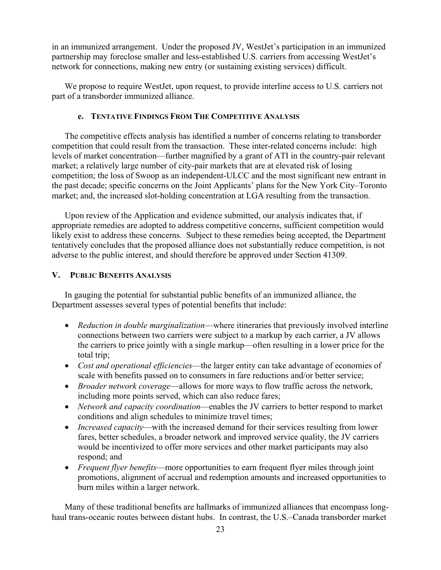in an immunized arrangement. Under the proposed JV, WestJet's participation in an immunized partnership may foreclose smaller and less-established U.S. carriers from accessing WestJet's network for connections, making new entry (or sustaining existing services) difficult.

We propose to require WestJet, upon request, to provide interline access to U.S. carriers not part of a transborder immunized alliance.

## **e. TENTATIVE FINDINGS FROM THE COMPETITIVE ANALYSIS**

The competitive effects analysis has identified a number of concerns relating to transborder competition that could result from the transaction. These inter-related concerns include: high levels of market concentration—further magnified by a grant of ATI in the country-pair relevant market; a relatively large number of city-pair markets that are at elevated risk of losing competition; the loss of Swoop as an independent-ULCC and the most significant new entrant in the past decade; specific concerns on the Joint Applicants' plans for the New York City–Toronto market; and, the increased slot-holding concentration at LGA resulting from the transaction.

Upon review of the Application and evidence submitted, our analysis indicates that, if appropriate remedies are adopted to address competitive concerns, sufficient competition would likely exist to address these concerns. Subject to these remedies being accepted, the Department tentatively concludes that the proposed alliance does not substantially reduce competition, is not adverse to the public interest, and should therefore be approved under Section 41309.

## **V. PUBLIC BENEFITS ANALYSIS**

In gauging the potential for substantial public benefits of an immunized alliance, the Department assesses several types of potential benefits that include:

- *Reduction in double marginalization*—where itineraries that previously involved interline connections between two carriers were subject to a markup by each carrier, a JV allows the carriers to price jointly with a single markup—often resulting in a lower price for the total trip;
- *Cost and operational efficiencies*—the larger entity can take advantage of economies of scale with benefits passed on to consumers in fare reductions and/or better service;
- *Broader network coverage*—allows for more ways to flow traffic across the network, including more points served, which can also reduce fares;
- *Network and capacity coordination*—enables the JV carriers to better respond to market conditions and align schedules to minimize travel times;
- *Increased capacity*—with the increased demand for their services resulting from lower fares, better schedules, a broader network and improved service quality, the JV carriers would be incentivized to offer more services and other market participants may also respond; and
- *Frequent flyer benefits*—more opportunities to earn frequent flyer miles through joint promotions, alignment of accrual and redemption amounts and increased opportunities to burn miles within a larger network.

Many of these traditional benefits are hallmarks of immunized alliances that encompass longhaul trans-oceanic routes between distant hubs. In contrast, the U.S.–Canada transborder market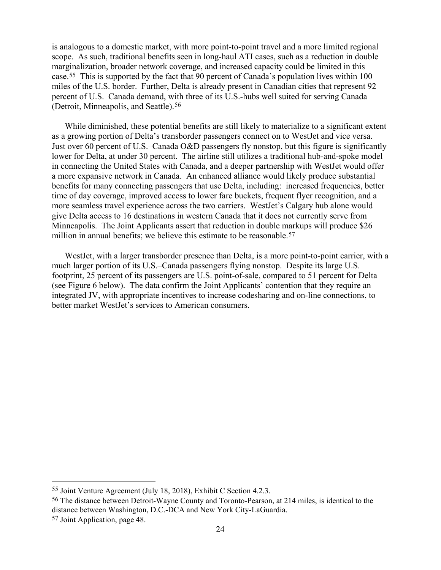is analogous to a domestic market, with more point-to-point travel and a more limited regional scope. As such, traditional benefits seen in long-haul ATI cases, such as a reduction in double marginalization, broader network coverage, and increased capacity could be limited in this case.[55](#page-23-0) This is supported by the fact that 90 percent of Canada's population lives within 100 miles of the U.S. border. Further, Delta is already present in Canadian cities that represent 92 percent of U.S.–Canada demand, with three of its U.S.-hubs well suited for serving Canada (Detroit, Minneapolis, and Seattle).[56](#page-23-1)

While diminished, these potential benefits are still likely to materialize to a significant extent as a growing portion of Delta's transborder passengers connect on to WestJet and vice versa. Just over 60 percent of U.S.–Canada O&D passengers fly nonstop, but this figure is significantly lower for Delta, at under 30 percent. The airline still utilizes a traditional hub-and-spoke model in connecting the United States with Canada, and a deeper partnership with WestJet would offer a more expansive network in Canada. An enhanced alliance would likely produce substantial benefits for many connecting passengers that use Delta, including: increased frequencies, better time of day coverage, improved access to lower fare buckets, frequent flyer recognition, and a more seamless travel experience across the two carriers. WestJet's Calgary hub alone would give Delta access to 16 destinations in western Canada that it does not currently serve from Minneapolis. The Joint Applicants assert that reduction in double markups will produce \$26 million in annual benefits; we believe this estimate to be reasonable.<sup>57</sup>

WestJet, with a larger transborder presence than Delta, is a more point-to-point carrier, with a much larger portion of its U.S.–Canada passengers flying nonstop. Despite its large U.S. footprint, 25 percent of its passengers are U.S. point-of-sale, compared to 51 percent for Delta (see [Figure 6](#page-24-0) below). The data confirm the Joint Applicants' contention that they require an integrated JV, with appropriate incentives to increase codesharing and on-line connections, to better market WestJet's services to American consumers.

<span id="page-23-0"></span> <sup>55</sup> Joint Venture Agreement (July 18, 2018), Exhibit C Section 4.2.3.

<span id="page-23-1"></span><sup>56</sup> The distance between Detroit-Wayne County and Toronto-Pearson, at 214 miles, is identical to the distance between Washington, D.C.-DCA and New York City-LaGuardia.

<span id="page-23-2"></span><sup>57</sup> Joint Application, page 48.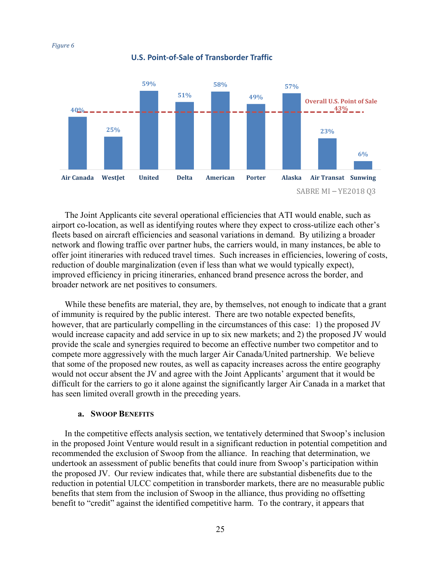<span id="page-24-0"></span>

#### **U.S. Point-of-Sale of Transborder Traffic**

The Joint Applicants cite several operational efficiencies that ATI would enable, such as airport co-location, as well as identifying routes where they expect to cross-utilize each other's fleets based on aircraft efficiencies and seasonal variations in demand. By utilizing a broader network and flowing traffic over partner hubs, the carriers would, in many instances, be able to offer joint itineraries with reduced travel times. Such increases in efficiencies, lowering of costs, reduction of double marginalization (even if less than what we would typically expect), improved efficiency in pricing itineraries, enhanced brand presence across the border, and broader network are net positives to consumers.

While these benefits are material, they are, by themselves, not enough to indicate that a grant of immunity is required by the public interest. There are two notable expected benefits, however, that are particularly compelling in the circumstances of this case: 1) the proposed JV would increase capacity and add service in up to six new markets; and 2) the proposed JV would provide the scale and synergies required to become an effective number two competitor and to compete more aggressively with the much larger Air Canada/United partnership. We believe that some of the proposed new routes, as well as capacity increases across the entire geography would not occur absent the JV and agree with the Joint Applicants' argument that it would be difficult for the carriers to go it alone against the significantly larger Air Canada in a market that has seen limited overall growth in the preceding years.

#### **a. SWOOP BENEFITS**

In the competitive effects analysis section, we tentatively determined that Swoop's inclusion in the proposed Joint Venture would result in a significant reduction in potential competition and recommended the exclusion of Swoop from the alliance. In reaching that determination, we undertook an assessment of public benefits that could inure from Swoop's participation within the proposed JV. Our review indicates that, while there are substantial disbenefits due to the reduction in potential ULCC competition in transborder markets, there are no measurable public benefits that stem from the inclusion of Swoop in the alliance, thus providing no offsetting benefit to "credit" against the identified competitive harm. To the contrary, it appears that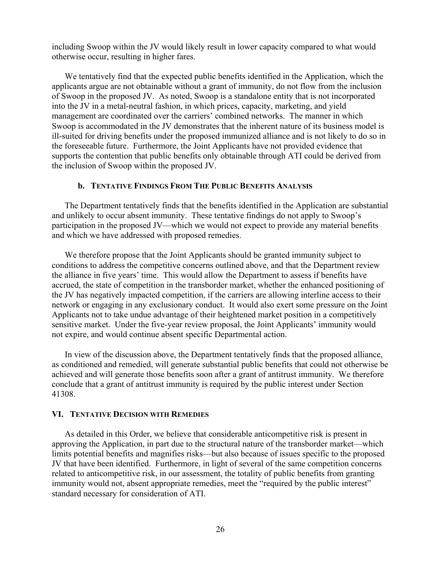including Swoop within the JV would likely result in lower capacity compared to what would otherwise occur, resulting in higher fares.

We tentatively find that the expected public benefits identified in the Application, which the applicants argue are not obtainable without a grant of immunity, do not flow from the inclusion of Swoop in the proposed JV. As noted, Swoop is a standalone entity that is not incorporated into the JV in a metal-neutral fashion, in which prices, capacity, marketing, and yield management are coordinated over the carriers' combined networks. The manner in which Swoop is accommodated in the JV demonstrates that the inherent nature of its business model is ill-suited for driving benefits under the proposed immunized alliance and is not likely to do so in the foreseeable future. Furthermore, the Joint Applicants have not provided evidence that supports the contention that public benefits only obtainable through ATI could be derived from the inclusion of Swoop within the proposed JV.

#### **b. TENTATIVE FINDINGS FROM THE PUBLIC BENEFITS ANALYSIS**

The Department tentatively finds that the benefits identified in the Application are substantial and unlikely to occur absent immunity. These tentative findings do not apply to Swoop's participation in the proposed JV—which we would not expect to provide any material benefits and which we have addressed with proposed remedies.

We therefore propose that the Joint Applicants should be granted immunity subject to conditions to address the competitive concerns outlined above, and that the Department review the alliance in five years' time. This would allow the Department to assess if benefits have accrued, the state of competition in the transborder market, whether the enhanced positioning of the JV has negatively impacted competition, if the carriers are allowing interline access to their network or engaging in any exclusionary conduct. It would also exert some pressure on the Joint Applicants not to take undue advantage of their heightened market position in a competitively sensitive market. Under the five-year review proposal, the Joint Applicants' immunity would not expire, and would continue absent specific Departmental action.

In view of the discussion above, the Department tentatively finds that the proposed alliance, as conditioned and remedied, will generate substantial public benefits that could not otherwise be achieved and will generate those benefits soon after a grant of antitrust immunity. We therefore conclude that a grant of antitrust immunity is required by the public interest under Section 41308.

#### **VI. TENTATIVE DECISION WITH REMEDIES**

As detailed in this Order, we believe that considerable anticompetitive risk is present in approving the Application, in part due to the structural nature of the transborder market—which limits potential benefits and magnifies risks—but also because of issues specific to the proposed JV that have been identified. Furthermore, in light of several of the same competition concerns related to anticompetitive risk, in our assessment, the totality of public benefits from granting immunity would not, absent appropriate remedies, meet the "required by the public interest" standard necessary for consideration of ATI.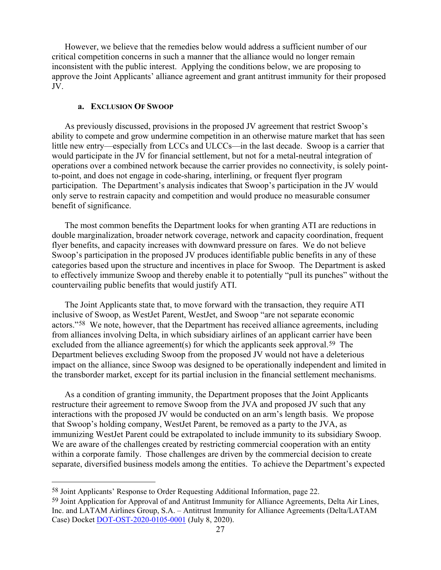However, we believe that the remedies below would address a sufficient number of our critical competition concerns in such a manner that the alliance would no longer remain inconsistent with the public interest. Applying the conditions below, we are proposing to approve the Joint Applicants' alliance agreement and grant antitrust immunity for their proposed JV.

### **a. EXCLUSION OF SWOOP**

As previously discussed, provisions in the proposed JV agreement that restrict Swoop's ability to compete and grow undermine competition in an otherwise mature market that has seen little new entry—especially from LCCs and ULCCs—in the last decade. Swoop is a carrier that would participate in the JV for financial settlement, but not for a metal-neutral integration of operations over a combined network because the carrier provides no connectivity, is solely pointto-point, and does not engage in code-sharing, interlining, or frequent flyer program participation. The Department's analysis indicates that Swoop's participation in the JV would only serve to restrain capacity and competition and would produce no measurable consumer benefit of significance.

The most common benefits the Department looks for when granting ATI are reductions in double marginalization, broader network coverage, network and capacity coordination, frequent flyer benefits, and capacity increases with downward pressure on fares. We do not believe Swoop's participation in the proposed JV produces identifiable public benefits in any of these categories based upon the structure and incentives in place for Swoop. The Department is asked to effectively immunize Swoop and thereby enable it to potentially "pull its punches" without the countervailing public benefits that would justify ATI.

The Joint Applicants state that, to move forward with the transaction, they require ATI inclusive of Swoop, as WestJet Parent, WestJet, and Swoop "are not separate economic actors."[58](#page-26-0) We note, however, that the Department has received alliance agreements, including from alliances involving Delta, in which subsidiary airlines of an applicant carrier have been excluded from the alliance agreement(s) for which the applicants seek approval.<sup>[59](#page-26-1)</sup> The Department believes excluding Swoop from the proposed JV would not have a deleterious impact on the alliance, since Swoop was designed to be operationally independent and limited in the transborder market, except for its partial inclusion in the financial settlement mechanisms.

As a condition of granting immunity, the Department proposes that the Joint Applicants restructure their agreement to remove Swoop from the JVA and proposed JV such that any interactions with the proposed JV would be conducted on an arm's length basis. We propose that Swoop's holding company, WestJet Parent, be removed as a party to the JVA, as immunizing WestJet Parent could be extrapolated to include immunity to its subsidiary Swoop. We are aware of the challenges created by restricting commercial cooperation with an entity within a corporate family. Those challenges are driven by the commercial decision to create separate, diversified business models among the entities. To achieve the Department's expected

<span id="page-26-0"></span> <sup>58</sup> Joint Applicants' Response to Order Requesting Additional Information, page 22.

<span id="page-26-1"></span><sup>59</sup> Joint Application for Approval of and Antitrust Immunity for Alliance Agreements, Delta Air Lines, Inc. and LATAM Airlines Group, S.A. – Antitrust Immunity for Alliance Agreements (Delta/LATAM Case) Docket [DOT-OST-2020-0105-0001](https://www.regulations.gov/document?D=DOT-OST-2020-0105-0001) (July 8, 2020).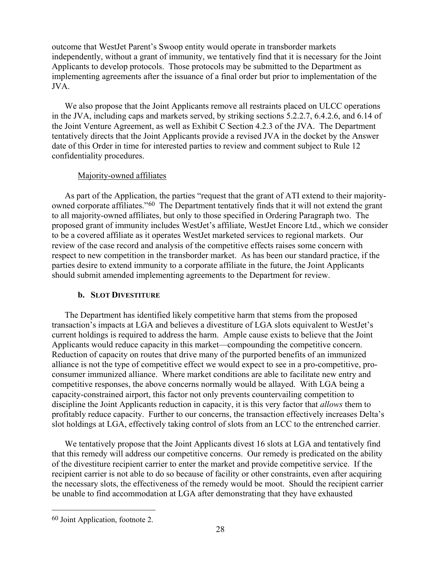outcome that WestJet Parent's Swoop entity would operate in transborder markets independently, without a grant of immunity, we tentatively find that it is necessary for the Joint Applicants to develop protocols. Those protocols may be submitted to the Department as implementing agreements after the issuance of a final order but prior to implementation of the JVA.

We also propose that the Joint Applicants remove all restraints placed on ULCC operations in the JVA, including caps and markets served, by striking sections 5.2.2.7, 6.4.2.6, and 6.14 of the Joint Venture Agreement, as well as Exhibit C Section 4.2.3 of the JVA. The Department tentatively directs that the Joint Applicants provide a revised JVA in the docket by the Answer date of this Order in time for interested parties to review and comment subject to Rule 12 confidentiality procedures.

## Majority-owned affiliates

As part of the Application, the parties "request that the grant of ATI extend to their majorityowned corporate affiliates."[60](#page-27-0) The Department tentatively finds that it will not extend the grant to all majority-owned affiliates, but only to those specified in Ordering Paragraph two. The proposed grant of immunity includes WestJet's affiliate, WestJet Encore Ltd., which we consider to be a covered affiliate as it operates WestJet marketed services to regional markets. Our review of the case record and analysis of the competitive effects raises some concern with respect to new competition in the transborder market. As has been our standard practice, if the parties desire to extend immunity to a corporate affiliate in the future, the Joint Applicants should submit amended implementing agreements to the Department for review.

## **b. SLOT DIVESTITURE**

The Department has identified likely competitive harm that stems from the proposed transaction's impacts at LGA and believes a divestiture of LGA slots equivalent to WestJet's current holdings is required to address the harm. Ample cause exists to believe that the Joint Applicants would reduce capacity in this market—compounding the competitive concern. Reduction of capacity on routes that drive many of the purported benefits of an immunized alliance is not the type of competitive effect we would expect to see in a pro-competitive, proconsumer immunized alliance. Where market conditions are able to facilitate new entry and competitive responses, the above concerns normally would be allayed. With LGA being a capacity-constrained airport, this factor not only prevents countervailing competition to discipline the Joint Applicants reduction in capacity, it is this very factor that *allows* them to profitably reduce capacity. Further to our concerns, the transaction effectively increases Delta's slot holdings at LGA, effectively taking control of slots from an LCC to the entrenched carrier.

We tentatively propose that the Joint Applicants divest 16 slots at LGA and tentatively find that this remedy will address our competitive concerns. Our remedy is predicated on the ability of the divestiture recipient carrier to enter the market and provide competitive service. If the recipient carrier is not able to do so because of facility or other constraints, even after acquiring the necessary slots, the effectiveness of the remedy would be moot. Should the recipient carrier be unable to find accommodation at LGA after demonstrating that they have exhausted

<span id="page-27-0"></span> <sup>60</sup> Joint Application, footnote 2.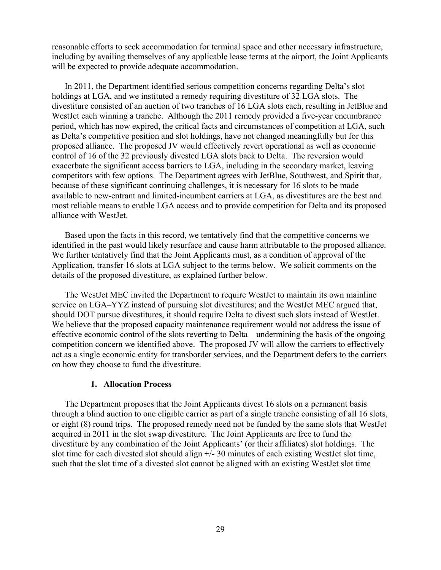reasonable efforts to seek accommodation for terminal space and other necessary infrastructure, including by availing themselves of any applicable lease terms at the airport, the Joint Applicants will be expected to provide adequate accommodation.

In 2011, the Department identified serious competition concerns regarding Delta's slot holdings at LGA, and we instituted a remedy requiring divestiture of 32 LGA slots. The divestiture consisted of an auction of two tranches of 16 LGA slots each, resulting in JetBlue and WestJet each winning a tranche. Although the 2011 remedy provided a five-year encumbrance period, which has now expired, the critical facts and circumstances of competition at LGA, such as Delta's competitive position and slot holdings, have not changed meaningfully but for this proposed alliance. The proposed JV would effectively revert operational as well as economic control of 16 of the 32 previously divested LGA slots back to Delta. The reversion would exacerbate the significant access barriers to LGA, including in the secondary market, leaving competitors with few options. The Department agrees with JetBlue, Southwest, and Spirit that, because of these significant continuing challenges, it is necessary for 16 slots to be made available to new-entrant and limited-incumbent carriers at LGA, as divestitures are the best and most reliable means to enable LGA access and to provide competition for Delta and its proposed alliance with WestJet.

Based upon the facts in this record, we tentatively find that the competitive concerns we identified in the past would likely resurface and cause harm attributable to the proposed alliance. We further tentatively find that the Joint Applicants must, as a condition of approval of the Application, transfer 16 slots at LGA subject to the terms below. We solicit comments on the details of the proposed divestiture, as explained further below.

The WestJet MEC invited the Department to require WestJet to maintain its own mainline service on LGA–YYZ instead of pursuing slot divestitures; and the WestJet MEC argued that, should DOT pursue divestitures, it should require Delta to divest such slots instead of WestJet. We believe that the proposed capacity maintenance requirement would not address the issue of effective economic control of the slots reverting to Delta—undermining the basis of the ongoing competition concern we identified above. The proposed JV will allow the carriers to effectively act as a single economic entity for transborder services, and the Department defers to the carriers on how they choose to fund the divestiture.

#### **1. Allocation Process**

The Department proposes that the Joint Applicants divest 16 slots on a permanent basis through a blind auction to one eligible carrier as part of a single tranche consisting of all 16 slots, or eight (8) round trips. The proposed remedy need not be funded by the same slots that WestJet acquired in 2011 in the slot swap divestiture. The Joint Applicants are free to fund the divestiture by any combination of the Joint Applicants' (or their affiliates) slot holdings. The slot time for each divested slot should align +/- 30 minutes of each existing WestJet slot time, such that the slot time of a divested slot cannot be aligned with an existing WestJet slot time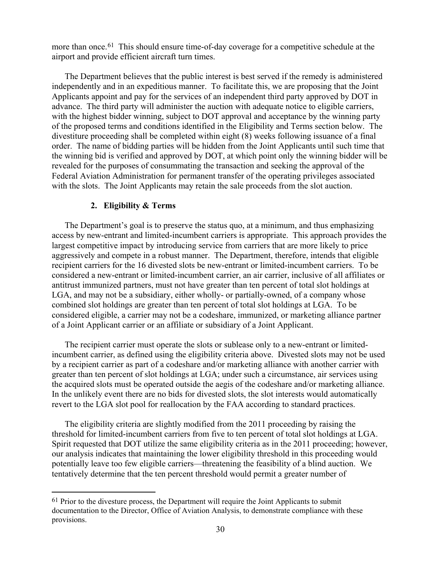more than once.<sup>[61](#page-29-0)</sup> This should ensure time-of-day coverage for a competitive schedule at the airport and provide efficient aircraft turn times.

The Department believes that the public interest is best served if the remedy is administered independently and in an expeditious manner. To facilitate this, we are proposing that the Joint Applicants appoint and pay for the services of an independent third party approved by DOT in advance. The third party will administer the auction with adequate notice to eligible carriers, with the highest bidder winning, subject to DOT approval and acceptance by the winning party of the proposed terms and conditions identified in the Eligibility and Terms section below. The divestiture proceeding shall be completed within eight (8) weeks following issuance of a final order. The name of bidding parties will be hidden from the Joint Applicants until such time that the winning bid is verified and approved by DOT, at which point only the winning bidder will be revealed for the purposes of consummating the transaction and seeking the approval of the Federal Aviation Administration for permanent transfer of the operating privileges associated with the slots. The Joint Applicants may retain the sale proceeds from the slot auction.

#### **2. Eligibility & Terms**

The Department's goal is to preserve the status quo, at a minimum, and thus emphasizing access by new-entrant and limited-incumbent carriers is appropriate. This approach provides the largest competitive impact by introducing service from carriers that are more likely to price aggressively and compete in a robust manner. The Department, therefore, intends that eligible recipient carriers for the 16 divested slots be new-entrant or limited-incumbent carriers. To be considered a new-entrant or limited-incumbent carrier, an air carrier, inclusive of all affiliates or antitrust immunized partners, must not have greater than ten percent of total slot holdings at LGA, and may not be a subsidiary, either wholly- or partially-owned, of a company whose combined slot holdings are greater than ten percent of total slot holdings at LGA. To be considered eligible, a carrier may not be a codeshare, immunized, or marketing alliance partner of a Joint Applicant carrier or an affiliate or subsidiary of a Joint Applicant.

The recipient carrier must operate the slots or sublease only to a new-entrant or limitedincumbent carrier, as defined using the eligibility criteria above. Divested slots may not be used by a recipient carrier as part of a codeshare and/or marketing alliance with another carrier with greater than ten percent of slot holdings at LGA; under such a circumstance, air services using the acquired slots must be operated outside the aegis of the codeshare and/or marketing alliance. In the unlikely event there are no bids for divested slots, the slot interests would automatically revert to the LGA slot pool for reallocation by the FAA according to standard practices.

The eligibility criteria are slightly modified from the 2011 proceeding by raising the threshold for limited-incumbent carriers from five to ten percent of total slot holdings at LGA. Spirit requested that DOT utilize the same eligibility criteria as in the 2011 proceeding; however, our analysis indicates that maintaining the lower eligibility threshold in this proceeding would potentially leave too few eligible carriers—threatening the feasibility of a blind auction. We tentatively determine that the ten percent threshold would permit a greater number of

<span id="page-29-0"></span> $61$  Prior to the divesture process, the Department will require the Joint Applicants to submit documentation to the Director, Office of Aviation Analysis, to demonstrate compliance with these provisions.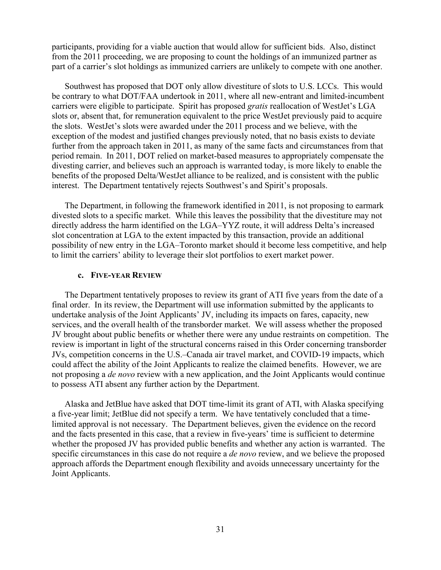participants, providing for a viable auction that would allow for sufficient bids. Also, distinct from the 2011 proceeding, we are proposing to count the holdings of an immunized partner as part of a carrier's slot holdings as immunized carriers are unlikely to compete with one another.

Southwest has proposed that DOT only allow divestiture of slots to U.S. LCCs. This would be contrary to what DOT/FAA undertook in 2011, where all new-entrant and limited-incumbent carriers were eligible to participate. Spirit has proposed *gratis* reallocation of WestJet's LGA slots or, absent that, for remuneration equivalent to the price WestJet previously paid to acquire the slots. WestJet's slots were awarded under the 2011 process and we believe, with the exception of the modest and justified changes previously noted, that no basis exists to deviate further from the approach taken in 2011, as many of the same facts and circumstances from that period remain. In 2011, DOT relied on market-based measures to appropriately compensate the divesting carrier, and believes such an approach is warranted today, is more likely to enable the benefits of the proposed Delta/WestJet alliance to be realized, and is consistent with the public interest. The Department tentatively rejects Southwest's and Spirit's proposals.

The Department, in following the framework identified in 2011, is not proposing to earmark divested slots to a specific market. While this leaves the possibility that the divestiture may not directly address the harm identified on the LGA–YYZ route, it will address Delta's increased slot concentration at LGA to the extent impacted by this transaction, provide an additional possibility of new entry in the LGA–Toronto market should it become less competitive, and help to limit the carriers' ability to leverage their slot portfolios to exert market power.

#### **c. FIVE-YEAR REVIEW**

The Department tentatively proposes to review its grant of ATI five years from the date of a final order. In its review, the Department will use information submitted by the applicants to undertake analysis of the Joint Applicants' JV, including its impacts on fares, capacity, new services, and the overall health of the transborder market. We will assess whether the proposed JV brought about public benefits or whether there were any undue restraints on competition. The review is important in light of the structural concerns raised in this Order concerning transborder JVs, competition concerns in the U.S.–Canada air travel market, and COVID-19 impacts, which could affect the ability of the Joint Applicants to realize the claimed benefits. However, we are not proposing a *de novo* review with a new application, and the Joint Applicants would continue to possess ATI absent any further action by the Department.

Alaska and JetBlue have asked that DOT time-limit its grant of ATI, with Alaska specifying a five-year limit; JetBlue did not specify a term. We have tentatively concluded that a timelimited approval is not necessary. The Department believes, given the evidence on the record and the facts presented in this case, that a review in five-years' time is sufficient to determine whether the proposed JV has provided public benefits and whether any action is warranted. The specific circumstances in this case do not require a *de novo* review, and we believe the proposed approach affords the Department enough flexibility and avoids unnecessary uncertainty for the Joint Applicants.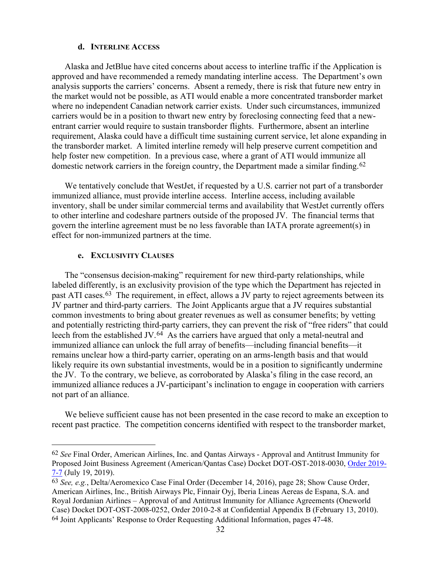#### **d. INTERLINE ACCESS**

Alaska and JetBlue have cited concerns about access to interline traffic if the Application is approved and have recommended a remedy mandating interline access. The Department's own analysis supports the carriers' concerns. Absent a remedy, there is risk that future new entry in the market would not be possible, as ATI would enable a more concentrated transborder market where no independent Canadian network carrier exists. Under such circumstances, immunized carriers would be in a position to thwart new entry by foreclosing connecting feed that a newentrant carrier would require to sustain transborder flights. Furthermore, absent an interline requirement, Alaska could have a difficult time sustaining current service, let alone expanding in the transborder market. A limited interline remedy will help preserve current competition and help foster new competition. In a previous case, where a grant of ATI would immunize all domestic network carriers in the foreign country, the Department made a similar finding.<sup>[62](#page-31-0)</sup>

We tentatively conclude that WestJet, if requested by a U.S. carrier not part of a transborder immunized alliance, must provide interline access. Interline access, including available inventory, shall be under similar commercial terms and availability that WestJet currently offers to other interline and codeshare partners outside of the proposed JV. The financial terms that govern the interline agreement must be no less favorable than IATA prorate agreement(s) in effect for non-immunized partners at the time.

#### **e. EXCLUSIVITY CLAUSES**

The "consensus decision-making" requirement for new third-party relationships, while labeled differently, is an exclusivity provision of the type which the Department has rejected in past ATI cases.[63](#page-31-1) The requirement, in effect, allows a JV party to reject agreements between its JV partner and third-party carriers. The Joint Applicants argue that a JV requires substantial common investments to bring about greater revenues as well as consumer benefits; by vetting and potentially restricting third-party carriers, they can prevent the risk of "free riders" that could leech from the established JV.[64](#page-31-2) As the carriers have argued that only a metal-neutral and immunized alliance can unlock the full array of benefits—including financial benefits—it remains unclear how a third-party carrier, operating on an arms-length basis and that would likely require its own substantial investments, would be in a position to significantly undermine the JV. To the contrary, we believe, as corroborated by Alaska's filing in the case record, an immunized alliance reduces a JV-participant's inclination to engage in cooperation with carriers not part of an alliance.

We believe sufficient cause has not been presented in the case record to make an exception to recent past practice. The competition concerns identified with respect to the transborder market,

<span id="page-31-0"></span> <sup>62</sup> *See* Final Order, American Airlines, Inc. and Qantas Airways - Approval and Antitrust Immunity for Proposed Joint Business Agreement (American/Qantas Case) Docket DOT-OST-2018-0030, [Order 2019-](https://www.regulations.gov/document?D=DOT-OST-2018-0030-0144) [7-7](https://www.regulations.gov/document?D=DOT-OST-2018-0030-0144) (July 19, 2019).

<span id="page-31-2"></span><span id="page-31-1"></span><sup>63</sup> *See, e.g.*, Delta/Aeromexico Case Final Order (December 14, 2016), page 28; Show Cause Order, American Airlines, Inc., British Airways Plc, Finnair Oyj, Iberia Lineas Aereas de Espana, S.A. and Royal Jordanian Airlines – Approval of and Antitrust Immunity for Alliance Agreements (Oneworld Case) Docket DOT-OST-2008-0252, Order 2010-2-8 at Confidential Appendix B (February 13, 2010). 64 Joint Applicants' Response to Order Requesting Additional Information, pages 47-48.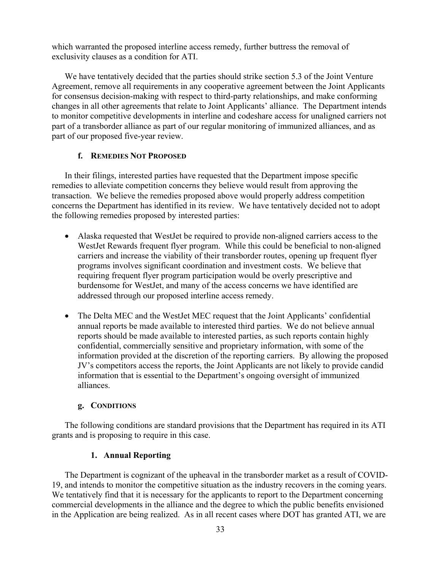which warranted the proposed interline access remedy, further buttress the removal of exclusivity clauses as a condition for ATI.

We have tentatively decided that the parties should strike section 5.3 of the Joint Venture Agreement, remove all requirements in any cooperative agreement between the Joint Applicants for consensus decision-making with respect to third-party relationships, and make conforming changes in all other agreements that relate to Joint Applicants' alliance. The Department intends to monitor competitive developments in interline and codeshare access for unaligned carriers not part of a transborder alliance as part of our regular monitoring of immunized alliances, and as part of our proposed five-year review.

## **f. REMEDIES NOT PROPOSED**

In their filings, interested parties have requested that the Department impose specific remedies to alleviate competition concerns they believe would result from approving the transaction. We believe the remedies proposed above would properly address competition concerns the Department has identified in its review. We have tentatively decided not to adopt the following remedies proposed by interested parties:

- Alaska requested that WestJet be required to provide non-aligned carriers access to the WestJet Rewards frequent flyer program. While this could be beneficial to non-aligned carriers and increase the viability of their transborder routes, opening up frequent flyer programs involves significant coordination and investment costs. We believe that requiring frequent flyer program participation would be overly prescriptive and burdensome for WestJet, and many of the access concerns we have identified are addressed through our proposed interline access remedy.
- The Delta MEC and the WestJet MEC request that the Joint Applicants' confidential annual reports be made available to interested third parties. We do not believe annual reports should be made available to interested parties, as such reports contain highly confidential, commercially sensitive and proprietary information, with some of the information provided at the discretion of the reporting carriers. By allowing the proposed JV's competitors access the reports, the Joint Applicants are not likely to provide candid information that is essential to the Department's ongoing oversight of immunized alliances.

## **g. CONDITIONS**

The following conditions are standard provisions that the Department has required in its ATI grants and is proposing to require in this case.

### **1. Annual Reporting**

The Department is cognizant of the upheaval in the transborder market as a result of COVID-19, and intends to monitor the competitive situation as the industry recovers in the coming years. We tentatively find that it is necessary for the applicants to report to the Department concerning commercial developments in the alliance and the degree to which the public benefits envisioned in the Application are being realized. As in all recent cases where DOT has granted ATI, we are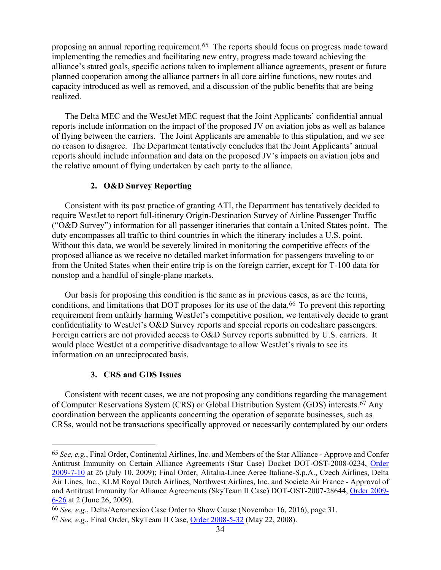proposing an annual reporting requirement.[65](#page-33-0) The reports should focus on progress made toward implementing the remedies and facilitating new entry, progress made toward achieving the alliance's stated goals, specific actions taken to implement alliance agreements, present or future planned cooperation among the alliance partners in all core airline functions, new routes and capacity introduced as well as removed, and a discussion of the public benefits that are being realized.

The Delta MEC and the WestJet MEC request that the Joint Applicants' confidential annual reports include information on the impact of the proposed JV on aviation jobs as well as balance of flying between the carriers. The Joint Applicants are amenable to this stipulation, and we see no reason to disagree. The Department tentatively concludes that the Joint Applicants' annual reports should include information and data on the proposed JV's impacts on aviation jobs and the relative amount of flying undertaken by each party to the alliance.

## **2. O&D Survey Reporting**

Consistent with its past practice of granting ATI, the Department has tentatively decided to require WestJet to report full-itinerary Origin-Destination Survey of Airline Passenger Traffic ("O&D Survey") information for all passenger itineraries that contain a United States point. The duty encompasses all traffic to third countries in which the itinerary includes a U.S. point. Without this data, we would be severely limited in monitoring the competitive effects of the proposed alliance as we receive no detailed market information for passengers traveling to or from the United States when their entire trip is on the foreign carrier, except for T-100 data for nonstop and a handful of single-plane markets.

Our basis for proposing this condition is the same as in previous cases, as are the terms, conditions, and limitations that DOT proposes for its use of the data.<sup>66</sup> To prevent this reporting requirement from unfairly harming WestJet's competitive position, we tentatively decide to grant confidentiality to WestJet's O&D Survey reports and special reports on codeshare passengers. Foreign carriers are not provided access to O&D Survey reports submitted by U.S. carriers. It would place WestJet at a competitive disadvantage to allow WestJet's rivals to see its information on an unreciprocated basis.

### **3. CRS and GDS Issues**

Consistent with recent cases, we are not proposing any conditions regarding the management of Computer Reservations System (CRS) or Global Distribution System (GDS) interests.[67](#page-33-2) Any coordination between the applicants concerning the operation of separate businesses, such as CRSs, would not be transactions specifically approved or necessarily contemplated by our orders

<span id="page-33-0"></span> <sup>65</sup> *See, e.g.*, Final Order, Continental Airlines, Inc. and Members of the Star Alliance - Approve and Confer Antitrust Immunity on Certain Alliance Agreements (Star Case) Docket DOT-OST-2008-0234, [Order](https://www.regulations.gov/document?D=DOT-OST-2008-0234-0253)  [2009-7-10](https://www.regulations.gov/document?D=DOT-OST-2008-0234-0253) at 26 (July 10, 2009); Final Order, Alitalia-Linee Aeree Italiane-S.p.A., Czech Airlines, Delta Air Lines, Inc., KLM Royal Dutch Airlines, Northwest Airlines, Inc. and Societe Air France - Approval of and Antitrust Immunity for Alliance Agreements (SkyTeam II Case) DOT-OST-2007-28644, [Order 2009-](https://www.regulations.gov/document?D=DOT-OST-2007-28644-0194) [6-26](https://www.regulations.gov/document?D=DOT-OST-2007-28644-0194) at 2 (June 26, 2009).

<span id="page-33-2"></span><span id="page-33-1"></span><sup>66</sup> *See, e.g.*, Delta/Aeromexico Case Order to Show Cause (November 16, 2016), page 31. 67 *See, e.g.*, Final Order, SkyTeam II Case, [Order 2008-5-32](https://www.regulations.gov/document?D=DOT-OST-2007-28644-0185) (May 22, 2008).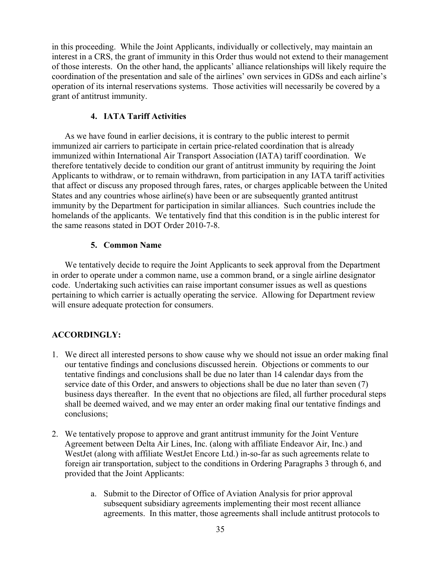in this proceeding. While the Joint Applicants, individually or collectively, may maintain an interest in a CRS, the grant of immunity in this Order thus would not extend to their management of those interests. On the other hand, the applicants' alliance relationships will likely require the coordination of the presentation and sale of the airlines' own services in GDSs and each airline's operation of its internal reservations systems. Those activities will necessarily be covered by a grant of antitrust immunity.

## **4. IATA Tariff Activities**

As we have found in earlier decisions, it is contrary to the public interest to permit immunized air carriers to participate in certain price-related coordination that is already immunized within International Air Transport Association (IATA) tariff coordination. We therefore tentatively decide to condition our grant of antitrust immunity by requiring the Joint Applicants to withdraw, or to remain withdrawn, from participation in any IATA tariff activities that affect or discuss any proposed through fares, rates, or charges applicable between the United States and any countries whose airline(s) have been or are subsequently granted antitrust immunity by the Department for participation in similar alliances. Such countries include the homelands of the applicants. We tentatively find that this condition is in the public interest for the same reasons stated in DOT Order 2010-7-8.

## **5. Common Name**

We tentatively decide to require the Joint Applicants to seek approval from the Department in order to operate under a common name, use a common brand, or a single airline designator code. Undertaking such activities can raise important consumer issues as well as questions pertaining to which carrier is actually operating the service. Allowing for Department review will ensure adequate protection for consumers.

## **ACCORDINGLY:**

- 1. We direct all interested persons to show cause why we should not issue an order making final our tentative findings and conclusions discussed herein. Objections or comments to our tentative findings and conclusions shall be due no later than 14 calendar days from the service date of this Order, and answers to objections shall be due no later than seven (7) business days thereafter. In the event that no objections are filed, all further procedural steps shall be deemed waived, and we may enter an order making final our tentative findings and conclusions;
- 2. We tentatively propose to approve and grant antitrust immunity for the Joint Venture Agreement between Delta Air Lines, Inc. (along with affiliate Endeavor Air, Inc.) and WestJet (along with affiliate WestJet Encore Ltd.) in-so-far as such agreements relate to foreign air transportation, subject to the conditions in Ordering Paragraphs 3 through 6, and provided that the Joint Applicants:
	- a. Submit to the Director of Office of Aviation Analysis for prior approval subsequent subsidiary agreements implementing their most recent alliance agreements. In this matter, those agreements shall include antitrust protocols to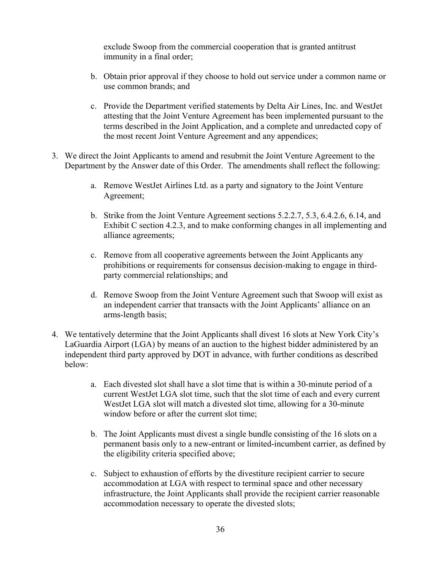exclude Swoop from the commercial cooperation that is granted antitrust immunity in a final order;

- b. Obtain prior approval if they choose to hold out service under a common name or use common brands; and
- c. Provide the Department verified statements by Delta Air Lines, Inc. and WestJet attesting that the Joint Venture Agreement has been implemented pursuant to the terms described in the Joint Application, and a complete and unredacted copy of the most recent Joint Venture Agreement and any appendices;
- 3. We direct the Joint Applicants to amend and resubmit the Joint Venture Agreement to the Department by the Answer date of this Order. The amendments shall reflect the following:
	- a. Remove WestJet Airlines Ltd. as a party and signatory to the Joint Venture Agreement;
	- b. Strike from the Joint Venture Agreement sections 5.2.2.7, 5.3, 6.4.2.6, 6.14, and Exhibit C section 4.2.3, and to make conforming changes in all implementing and alliance agreements;
	- c. Remove from all cooperative agreements between the Joint Applicants any prohibitions or requirements for consensus decision-making to engage in thirdparty commercial relationships; and
	- d. Remove Swoop from the Joint Venture Agreement such that Swoop will exist as an independent carrier that transacts with the Joint Applicants' alliance on an arms-length basis;
- 4. We tentatively determine that the Joint Applicants shall divest 16 slots at New York City's LaGuardia Airport (LGA) by means of an auction to the highest bidder administered by an independent third party approved by DOT in advance, with further conditions as described below:
	- a. Each divested slot shall have a slot time that is within a 30-minute period of a current WestJet LGA slot time, such that the slot time of each and every current WestJet LGA slot will match a divested slot time, allowing for a 30-minute window before or after the current slot time;
	- b. The Joint Applicants must divest a single bundle consisting of the 16 slots on a permanent basis only to a new-entrant or limited-incumbent carrier, as defined by the eligibility criteria specified above;
	- c. Subject to exhaustion of efforts by the divestiture recipient carrier to secure accommodation at LGA with respect to terminal space and other necessary infrastructure, the Joint Applicants shall provide the recipient carrier reasonable accommodation necessary to operate the divested slots;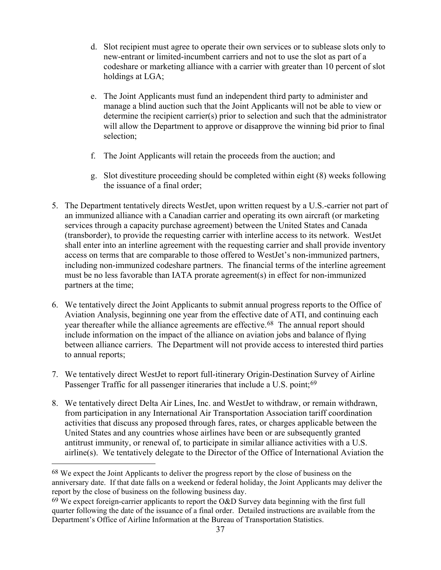- d. Slot recipient must agree to operate their own services or to sublease slots only to new-entrant or limited-incumbent carriers and not to use the slot as part of a codeshare or marketing alliance with a carrier with greater than 10 percent of slot holdings at LGA;
- e. The Joint Applicants must fund an independent third party to administer and manage a blind auction such that the Joint Applicants will not be able to view or determine the recipient carrier(s) prior to selection and such that the administrator will allow the Department to approve or disapprove the winning bid prior to final selection;
- f. The Joint Applicants will retain the proceeds from the auction; and
- g. Slot divestiture proceeding should be completed within eight (8) weeks following the issuance of a final order;
- 5. The Department tentatively directs WestJet, upon written request by a U.S.-carrier not part of an immunized alliance with a Canadian carrier and operating its own aircraft (or marketing services through a capacity purchase agreement) between the United States and Canada (transborder), to provide the requesting carrier with interline access to its network. WestJet shall enter into an interline agreement with the requesting carrier and shall provide inventory access on terms that are comparable to those offered to WestJet's non-immunized partners, including non-immunized codeshare partners. The financial terms of the interline agreement must be no less favorable than IATA prorate agreement(s) in effect for non-immunized partners at the time;
- 6. We tentatively direct the Joint Applicants to submit annual progress reports to the Office of Aviation Analysis, beginning one year from the effective date of ATI, and continuing each year thereafter while the alliance agreements are effective.<sup>68</sup> The annual report should include information on the impact of the alliance on aviation jobs and balance of flying between alliance carriers. The Department will not provide access to interested third parties to annual reports;
- 7. We tentatively direct WestJet to report full-itinerary Origin-Destination Survey of Airline Passenger Traffic for all passenger itineraries that include a U.S. point;<sup>[69](#page-36-1)</sup>
- 8. We tentatively direct Delta Air Lines, Inc. and WestJet to withdraw, or remain withdrawn, from participation in any International Air Transportation Association tariff coordination activities that discuss any proposed through fares, rates, or charges applicable between the United States and any countries whose airlines have been or are subsequently granted antitrust immunity, or renewal of, to participate in similar alliance activities with a U.S. airline(s). We tentatively delegate to the Director of the Office of International Aviation the

<span id="page-36-0"></span> <sup>68</sup> We expect the Joint Applicants to deliver the progress report by the close of business on the anniversary date. If that date falls on a weekend or federal holiday, the Joint Applicants may deliver the report by the close of business on the following business day.

<span id="page-36-1"></span> $69$  We expect foreign-carrier applicants to report the O&D Survey data beginning with the first full quarter following the date of the issuance of a final order. Detailed instructions are available from the Department's Office of Airline Information at the Bureau of Transportation Statistics.